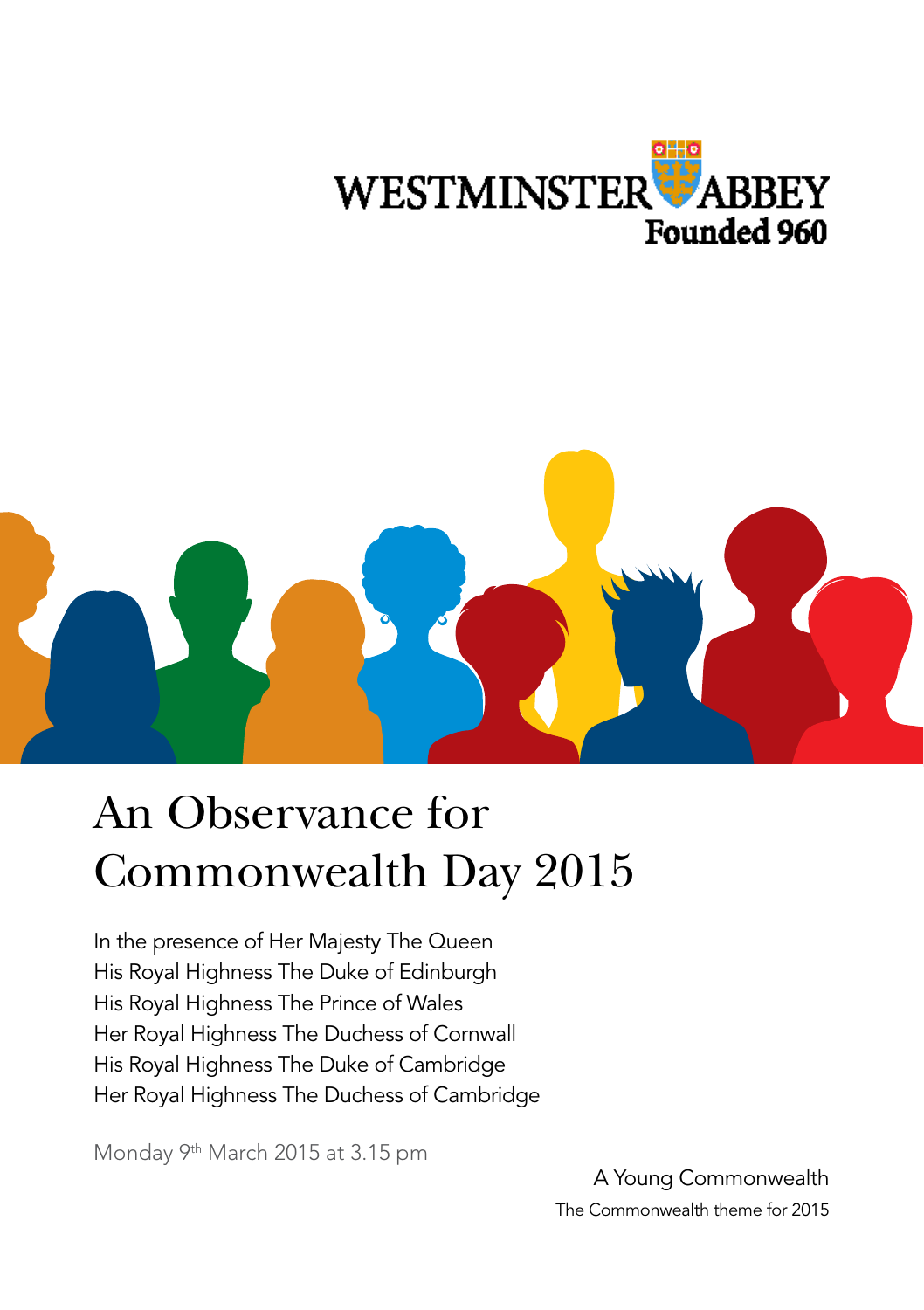

# An Observance for Commonwealth Day 2015

In the presence of Her Majesty The Queen His Royal Highness The Duke of Edinburgh His Royal Highness The Prince of Wales Her Royal Highness The Duchess of Cornwall His Royal Highness The Duke of Cambridge Her Royal Highness The Duchess of Cambridge

Monday 9th March 2015 at 3.15 pm

A Young Commonwealth The Commonwealth theme for 2015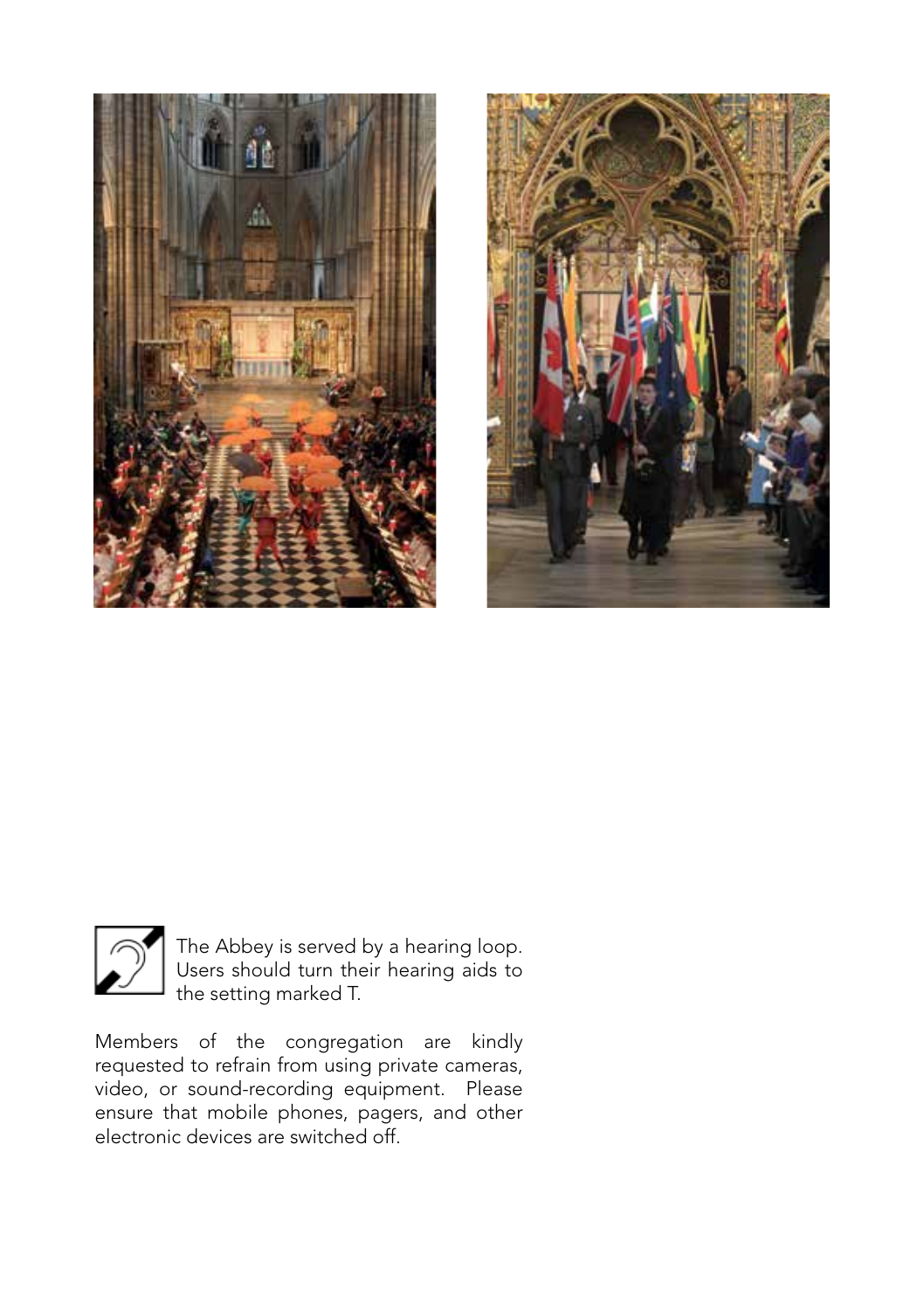





The Abbey is served by a hearing loop. Users should turn their hearing aids to the setting marked T.

Members of the congregation are kindly requested to refrain from using private cameras, video, or sound-recording equipment. Please ensure that mobile phones, pagers, and other electronic devices are switched off.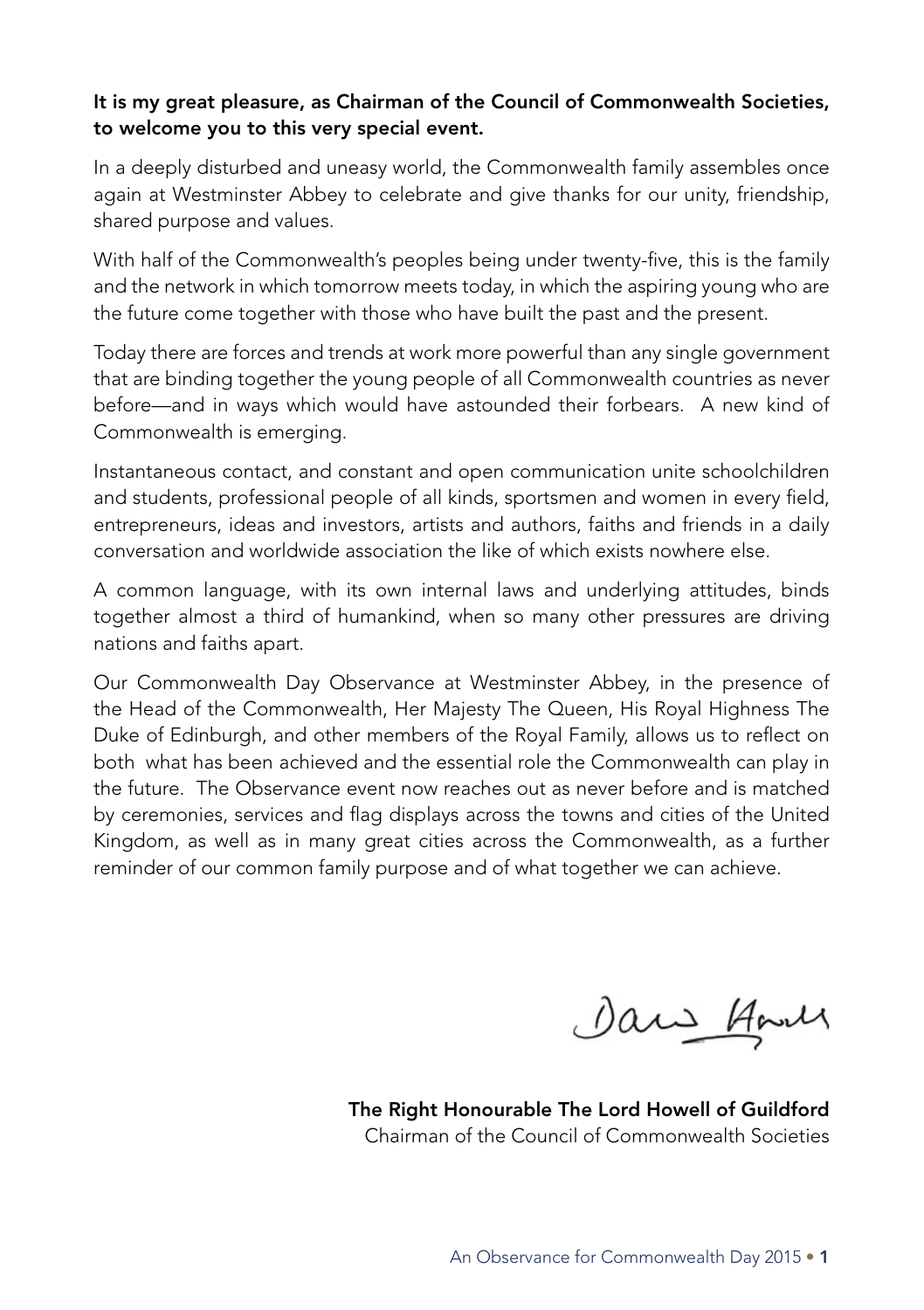### It is my great pleasure, as Chairman of the Council of Commonwealth Societies, to welcome you to this very special event.

In a deeply disturbed and uneasy world, the Commonwealth family assembles once again at Westminster Abbey to celebrate and give thanks for our unity, friendship, shared purpose and values.

With half of the Commonwealth's peoples being under twenty-five, this is the family and the network in which tomorrow meets today, in which the aspiring young who are the future come together with those who have built the past and the present.

Today there are forces and trends at work more powerful than any single government that are binding together the young people of all Commonwealth countries as never before—and in ways which would have astounded their forbears. A new kind of Commonwealth is emerging.

Instantaneous contact, and constant and open communication unite schoolchildren and students, professional people of all kinds, sportsmen and women in every field, entrepreneurs, ideas and investors, artists and authors, faiths and friends in a daily conversation and worldwide association the like of which exists nowhere else.

A common language, with its own internal laws and underlying attitudes, binds together almost a third of humankind, when so many other pressures are driving nations and faiths apart.

Our Commonwealth Day Observance at Westminster Abbey, in the presence of the Head of the Commonwealth, Her Majesty The Queen, His Royal Highness The Duke of Edinburgh, and other members of the Royal Family, allows us to reflect on both what has been achieved and the essential role the Commonwealth can play in the future. The Observance event now reaches out as never before and is matched by ceremonies, services and flag displays across the towns and cities of the United Kingdom, as well as in many great cities across the Commonwealth, as a further reminder of our common family purpose and of what together we can achieve.

Dans Hann

The Right Honourable The Lord Howell of Guildford Chairman of the Council of Commonwealth Societies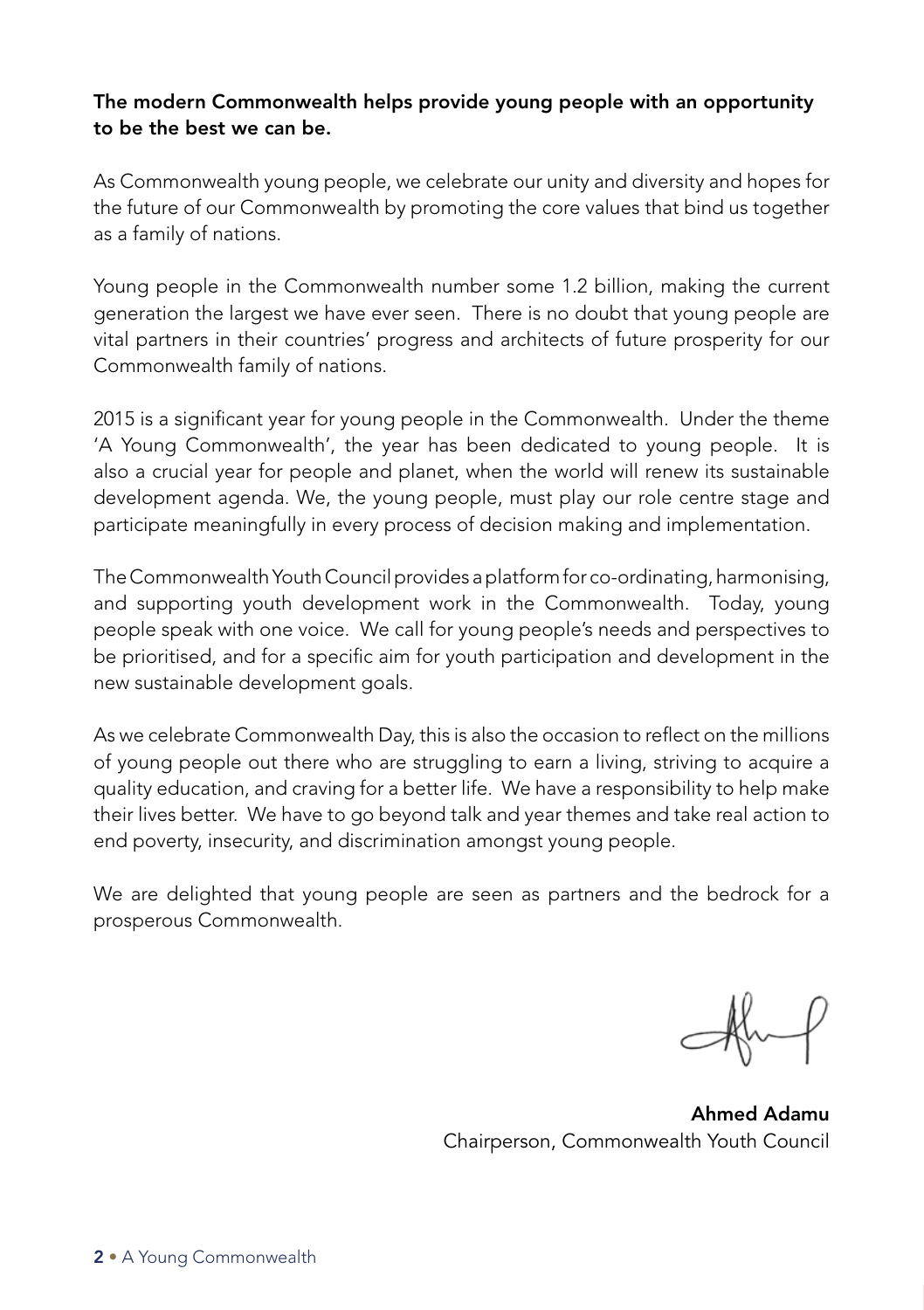### The modern Commonwealth helps provide young people with an opportunity to be the best we can be.

As Commonwealth young people, we celebrate our unity and diversity and hopes for the future of our Commonwealth by promoting the core values that bind us together as a family of nations.

Young people in the Commonwealth number some 1.2 billion, making the current generation the largest we have ever seen. There is no doubt that young people are vital partners in their countries' progress and architects of future prosperity for our Commonwealth family of nations.

2015 is a significant year for young people in the Commonwealth. Under the theme 'A Young Commonwealth', the year has been dedicated to young people. It is also a crucial year for people and planet, when the world will renew its sustainable development agenda. We, the young people, must play our role centre stage and participate meaningfully in every process of decision making and implementation.

The Commonwealth Youth Council provides a platform for co-ordinating, harmonising, and supporting youth development work in the Commonwealth. Today, young people speak with one voice. We call for young people's needs and perspectives to be prioritised, and for a specific aim for youth participation and development in the new sustainable development goals.

As we celebrate Commonwealth Day, this is also the occasion to reflect on the millions of young people out there who are struggling to earn a living, striving to acquire a quality education, and craving for a better life. We have a responsibility to help make their lives better. We have to go beyond talk and year themes and take real action to end poverty, insecurity, and discrimination amongst young people.

We are delighted that young people are seen as partners and the bedrock for a prosperous Commonwealth.

Ahmed Adamu Chairperson, Commonwealth Youth Council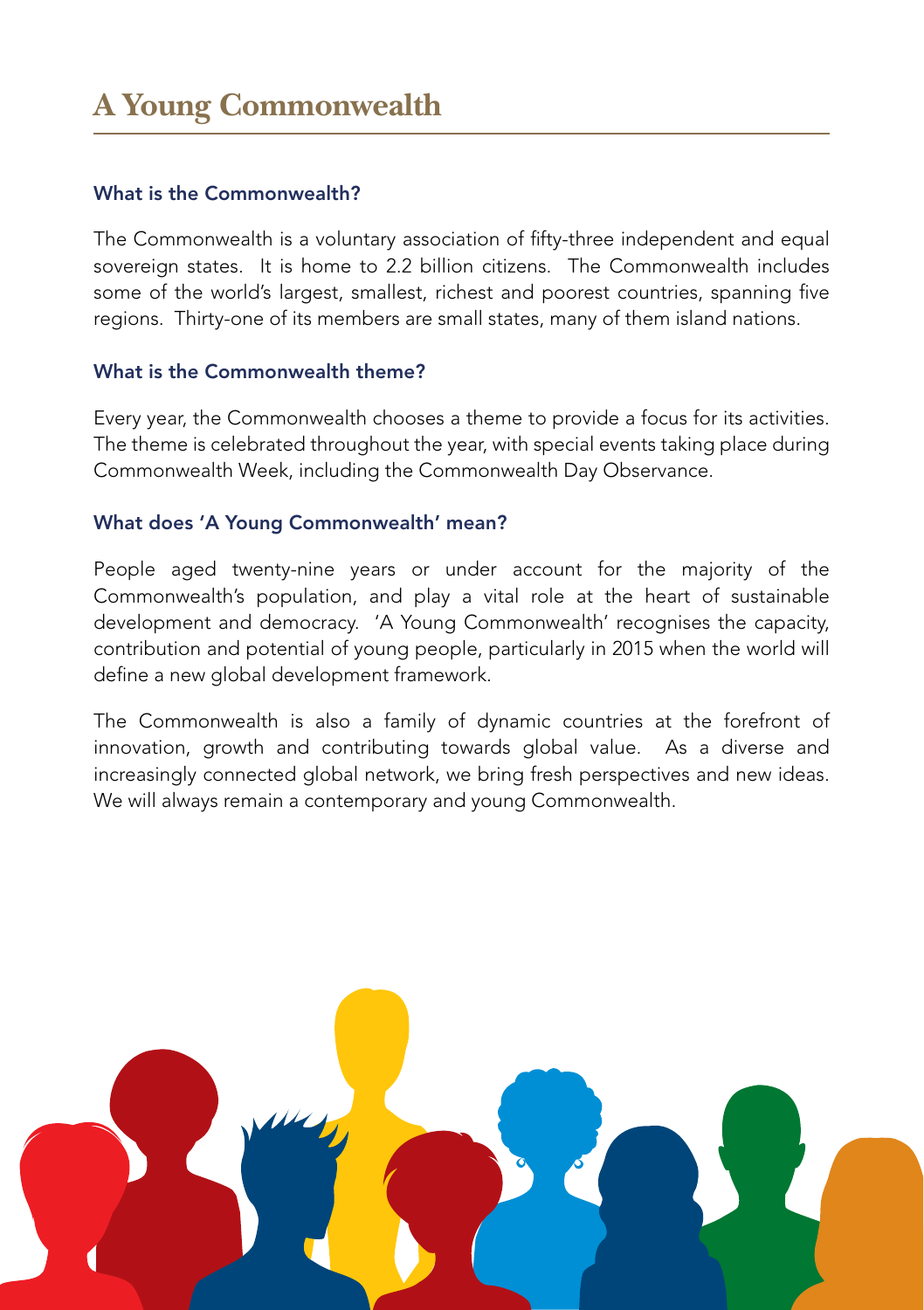## **A Young Commonwealth**

#### What is the Commonwealth?

The Commonwealth is a voluntary association of fifty-three independent and equal sovereign states. It is home to 2.2 billion citizens. The Commonwealth includes some of the world's largest, smallest, richest and poorest countries, spanning five regions. Thirty-one of its members are small states, many of them island nations.

#### What is the Commonwealth theme?

Every year, the Commonwealth chooses a theme to provide a focus for its activities. The theme is celebrated throughout the year, with special events taking place during Commonwealth Week, including the Commonwealth Day Observance.

#### What does 'A Young Commonwealth' mean?

People aged twenty-nine years or under account for the majority of the Commonwealth's population, and play a vital role at the heart of sustainable development and democracy. 'A Young Commonwealth' recognises the capacity, contribution and potential of young people, particularly in 2015 when the world will define a new global development framework.

The Commonwealth is also a family of dynamic countries at the forefront of innovation, growth and contributing towards global value. As a diverse and increasingly connected global network, we bring fresh perspectives and new ideas. We will always remain a contemporary and young Commonwealth.

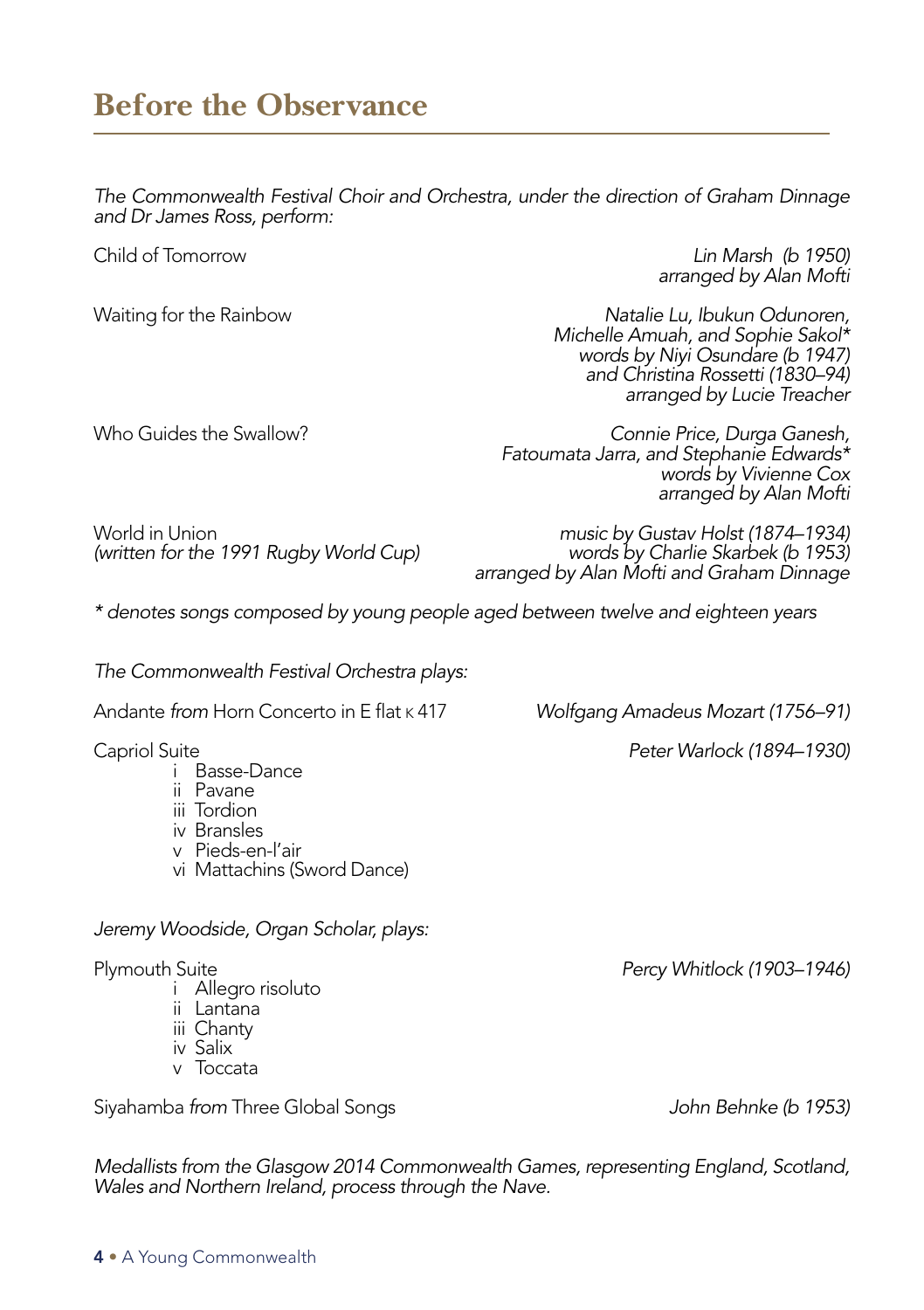*The Commonwealth Festival Choir and Orchestra, under the direction of Graham Dinnage and Dr James Ross, perform:*

Child of Tomorrow *Lin Marsh (b 1950) arranged by Alan Mofti*

Waiting for the Rainbow *Natalie Lu, Ibukun Odunoren, Michelle Amuah, and Sophie Sakol\* words by Niyi Osundare (b 1947) and Christina Rossetti (1830–94) arranged by Lucie Treacher*

Who Guides the Swallow? *Connie Price, Durga Ganesh, Fatoumata Jarra, and Stephanie Edwards\* words by Vivienne Cox arranged by Alan Mofti*

*(written for the 1991 Rugby World Cup) words by Charlie Skarbek (b 1953)*

World in Union *music by Gustav Holst (1874–1934) arranged by Alan Mofti and Graham Dinnage*

*\* denotes songs composed by young people aged between twelve and eighteen years*

*The Commonwealth Festival Orchestra plays:*

Andante *from* Horn Concerto in E flat k 417 *Wolfgang Amadeus Mozart (1756–91)*

Capriol Suite *Peter Warlock (1894–1930)*

- i Basse-Dance
- ii Pavane
- iii Tordion
- iv Bransles
- v Pieds-en-l'air
- vi Mattachins (Sword Dance)

*Jeremy Woodside, Organ Scholar, plays:* 

- i Allegro risoluto
- ii Lantana
- iii Chanty
- iv Salix
- v Toccata

Siyahamba *from* Three Global Songs *John Behnke (b 1953)*

*Medallists from the Glasgow 2014 Commonwealth Games, representing England, Scotland, Wales and Northern Ireland, process through the Nave.*

Plymouth Suite *Percy Whitlock (1903–1946)*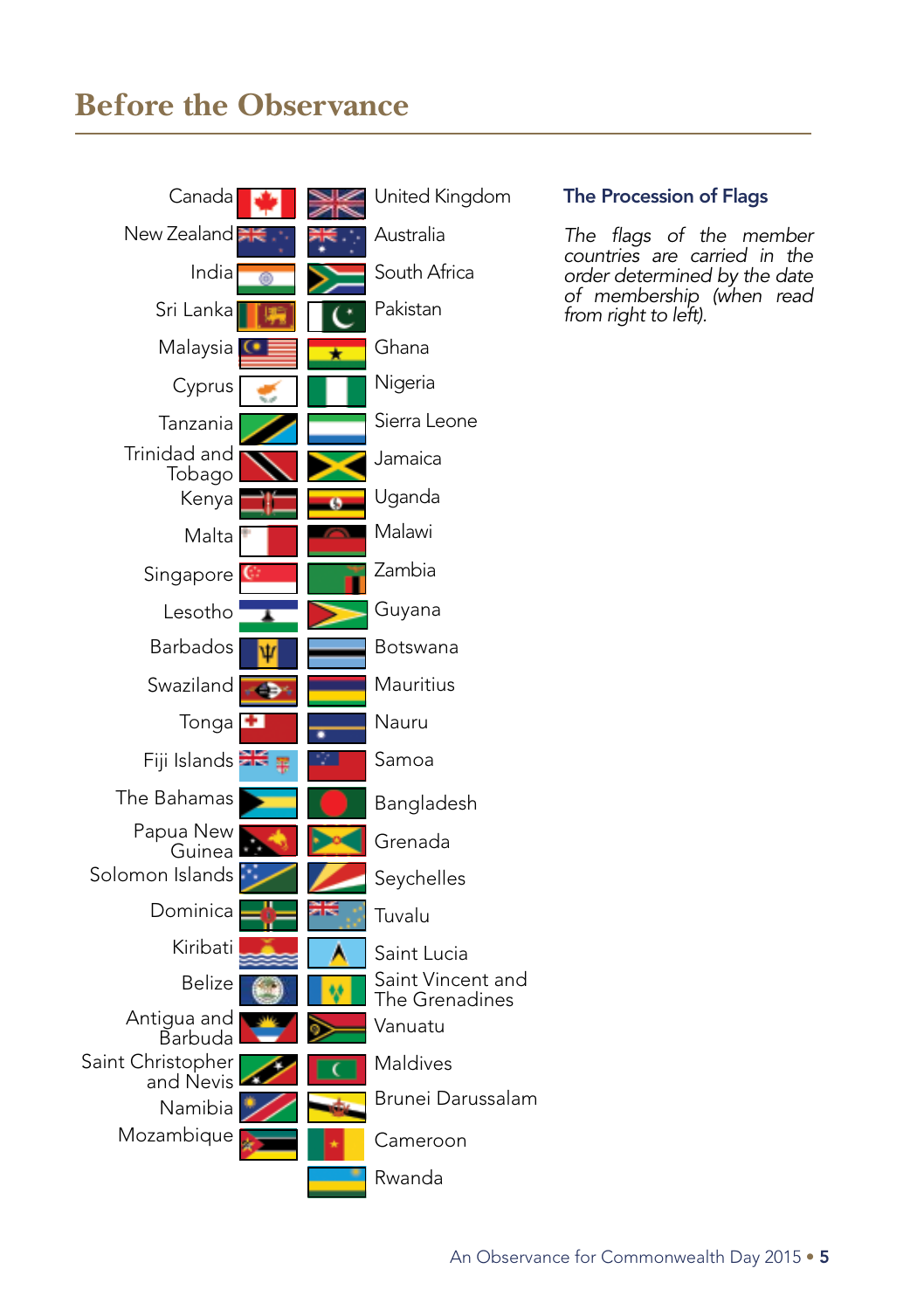### **Before the Observance**



#### The Procession of Flags

*The flags of the member countries are carried in the order determined by the date of membership (when read from right to left).*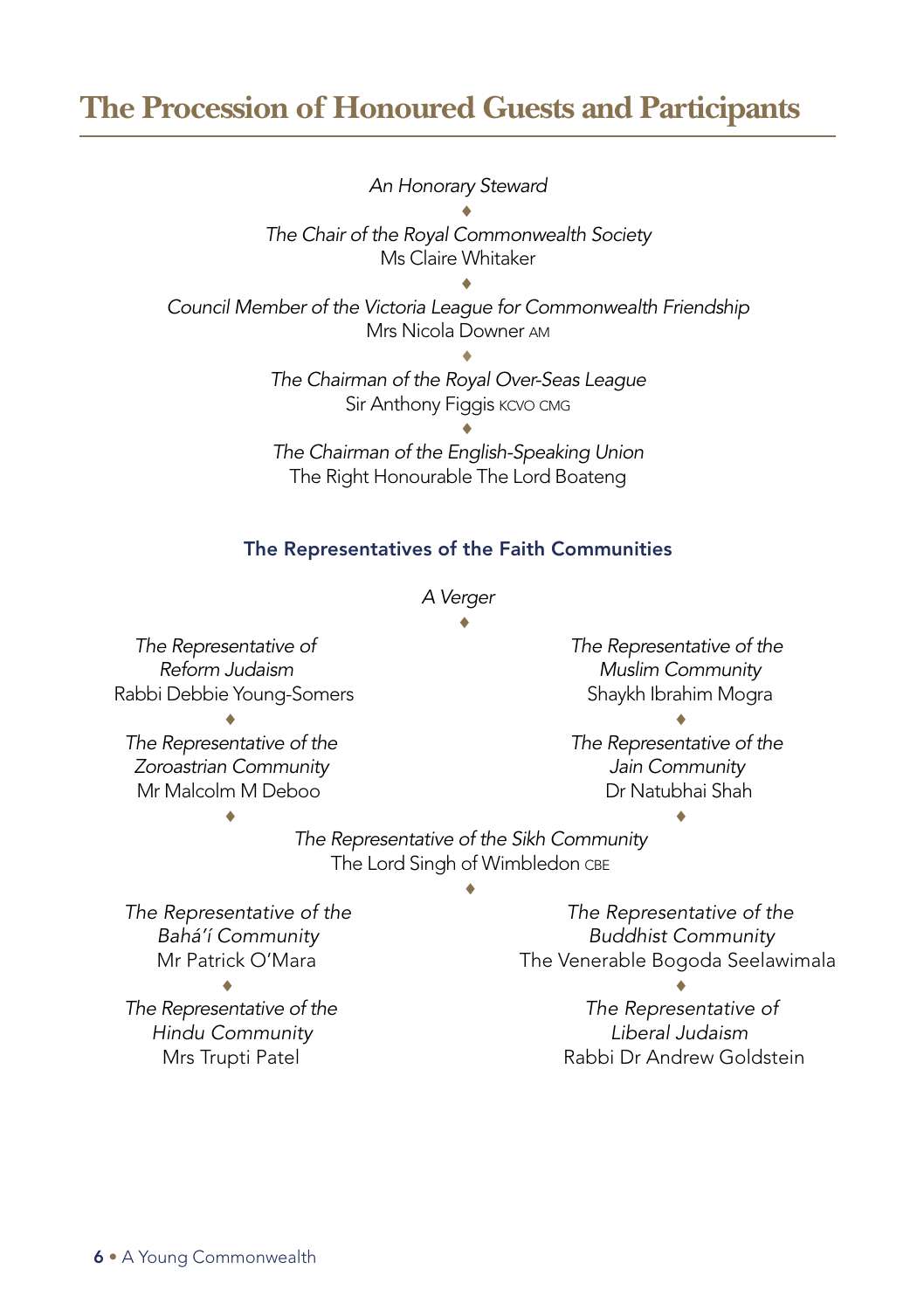### **The Procession of Honoured Guests and Participants**

*An Honorary Steward* ♦ *The Chair of the Royal Commonwealth Society* Ms Claire Whitaker ♦ *Council Member of the Victoria League for Commonwealth Friendship* Mrs Nicola Downer am ♦ *The Chairman of the Royal Over-Seas League* Sir Anthony Figgis **KCVO** CMG ♦ *The Chairman of the English-Speaking Union* The Right Honourable The Lord Boateng

#### The Representatives of the Faith Communities

#### *A Verger*

#### ♦

 *The Representative of The Representative of the*  **Reform Judaism Muslim Community** *Reform Judaism* Rabbi Debbie Young-Somers **Shaykh Ibrahim Mogra** Shaykh Ibrahim Mogra

♦ ♦  *Zoroastrian Community Jain Community* Mr Malcolm M Deboo Dr Natubhai Shah

*The Representative of the* The *The Representative of the* ♦ ♦

> *The Representative of the Sikh Community* The Lord Singh of Wimbledon CBE ♦

 $\blacklozenge$   $\blacklozenge$   $\blacklozenge$   $\blacklozenge$   $\blacklozenge$   $\blacklozenge$   $\blacklozenge$   $\blacklozenge$   $\blacklozenge$   $\blacklozenge$   $\blacklozenge$   $\blacklozenge$   $\blacklozenge$   $\blacklozenge$   $\blacklozenge$   $\blacklozenge$   $\blacklozenge$   $\blacklozenge$   $\blacklozenge$   $\blacklozenge$   $\blacklozenge$   $\blacklozenge$   $\blacklozenge$   $\blacklozenge$   $\blacklozenge$   $\blacklozenge$   $\blacklozenge$   $\blacklozen$  *Hindu Community Liberal Judaism*

*The Representative of the* The Representative of the **The Representative** of the  *Bahá'í Community Buddhist Community* Mr Patrick O'Mara **The Venerable Bogoda Seelawimala** 

*The Representative of the* The *Representative of* Mrs Trupti Patel Rabbi Dr Andrew Goldstein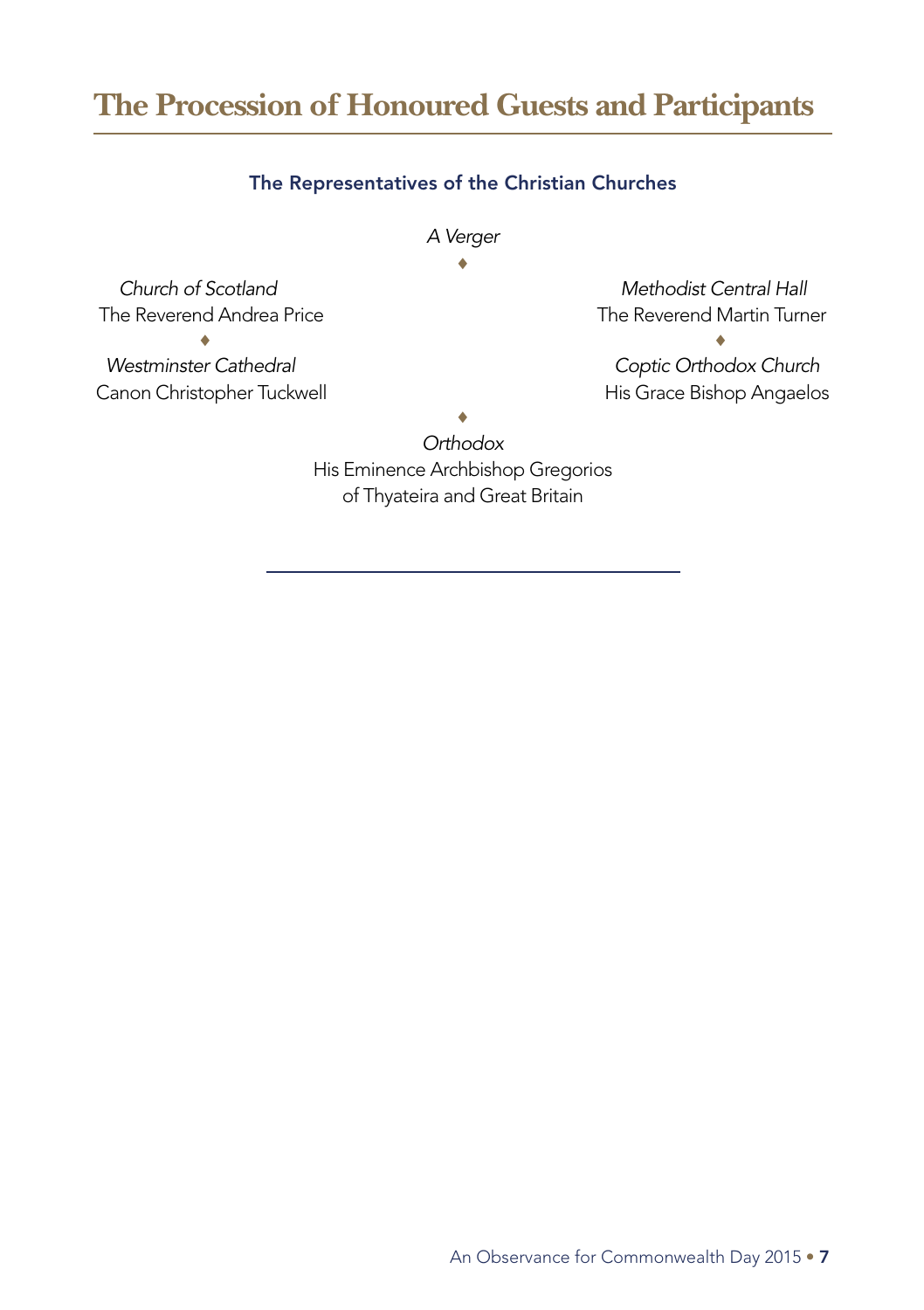### **The Procession of Honoured Guests and Participants**

### The Representatives of the Christian Churches

*A Verger* ♦

*Church of Scotland Methodist Central Hall* The Reverend Andrea Price **The Reverend Martin Turner** ♦ ♦

Westminster Cathedral **Coptic Orthodox Church** Coptic Orthodox Church Canon Christopher Tuckwell **Exercise 2018** His Grace Bishop Angaelos

*Orthodox* His Eminence Archbishop Gregorios of Thyateira and Great Britain

♦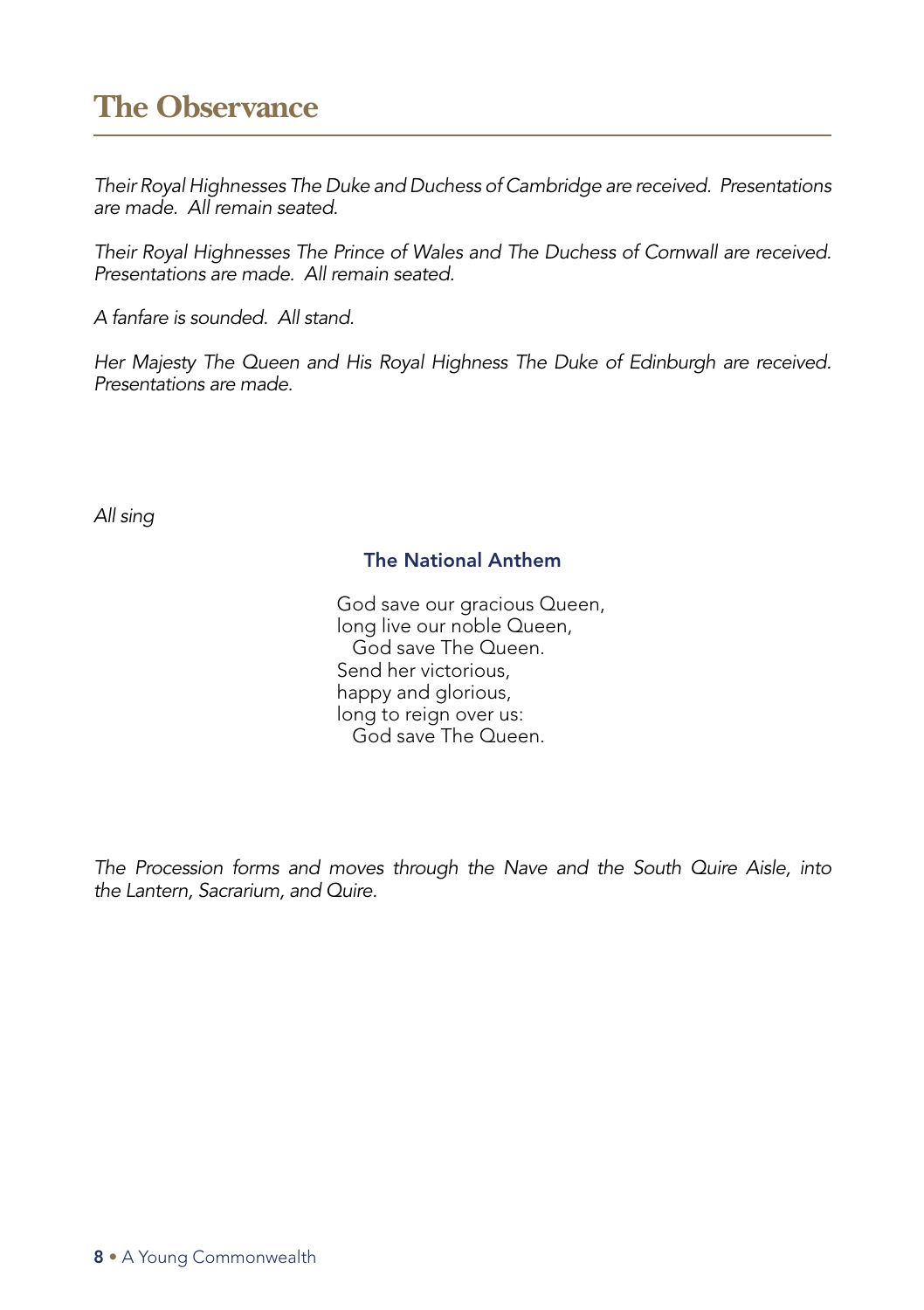*Their Royal Highnesses The Duke and Duchess of Cambridge are received. Presentations are made. All remain seated.*

*Their Royal Highnesses The Prince of Wales and The Duchess of Cornwall are received. Presentations are made. All remain seated.*

*A fanfare is sounded. All stand.*

*Her Majesty The Queen and His Royal Highness The Duke of Edinburgh are received. Presentations are made.*

*All sing*

#### The National Anthem

God save our gracious Queen, long live our noble Queen, God save The Queen. Send her victorious, happy and glorious, long to reign over us: God save The Queen.

*The Procession forms and moves through the Nave and the South Quire Aisle, into the Lantern, Sacrarium, and Quire.*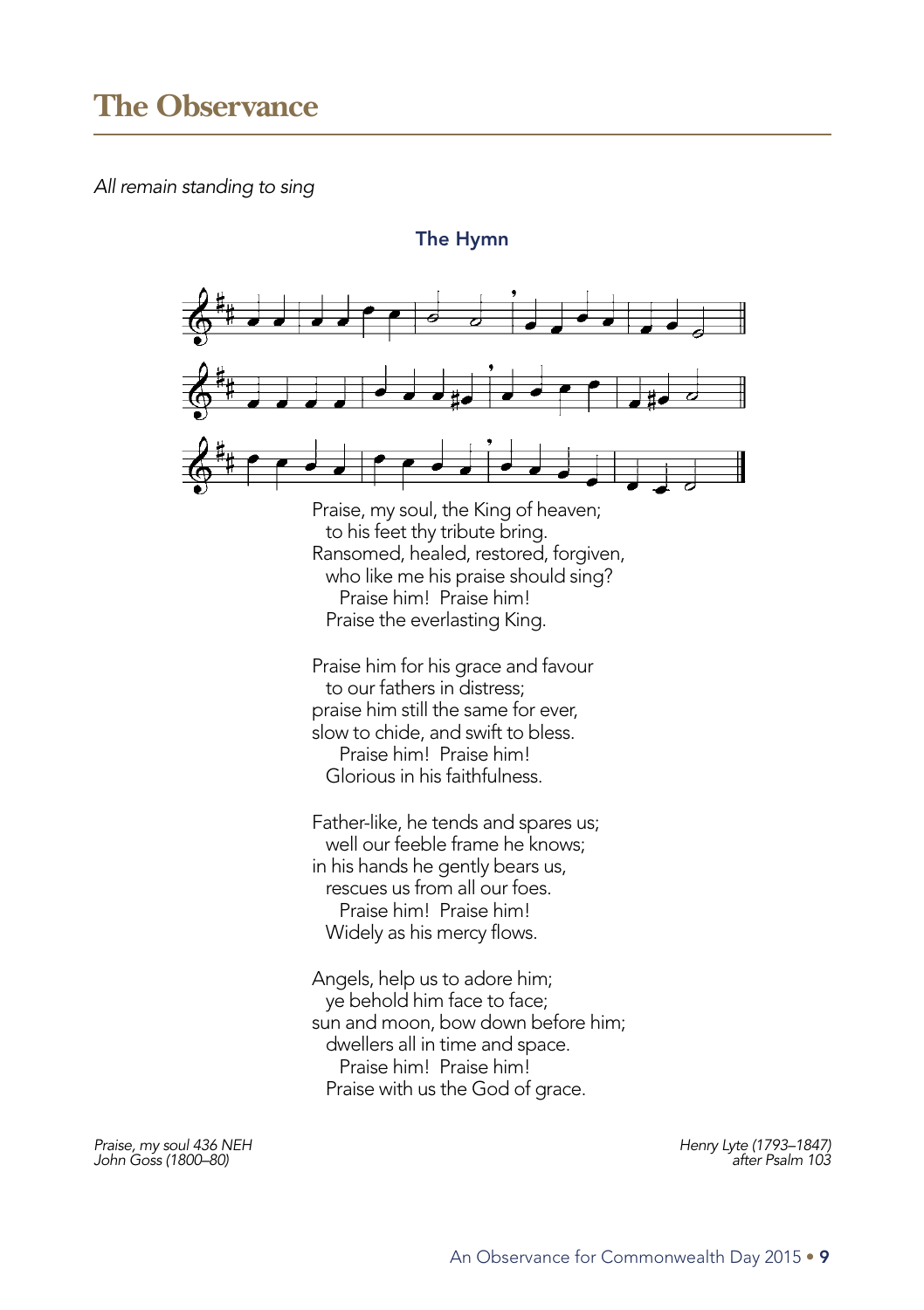#### *All remain standing to sing*



*Praise, my soul 436 NEH Henry Lyte (1793–1847) John Goss (1800–80)*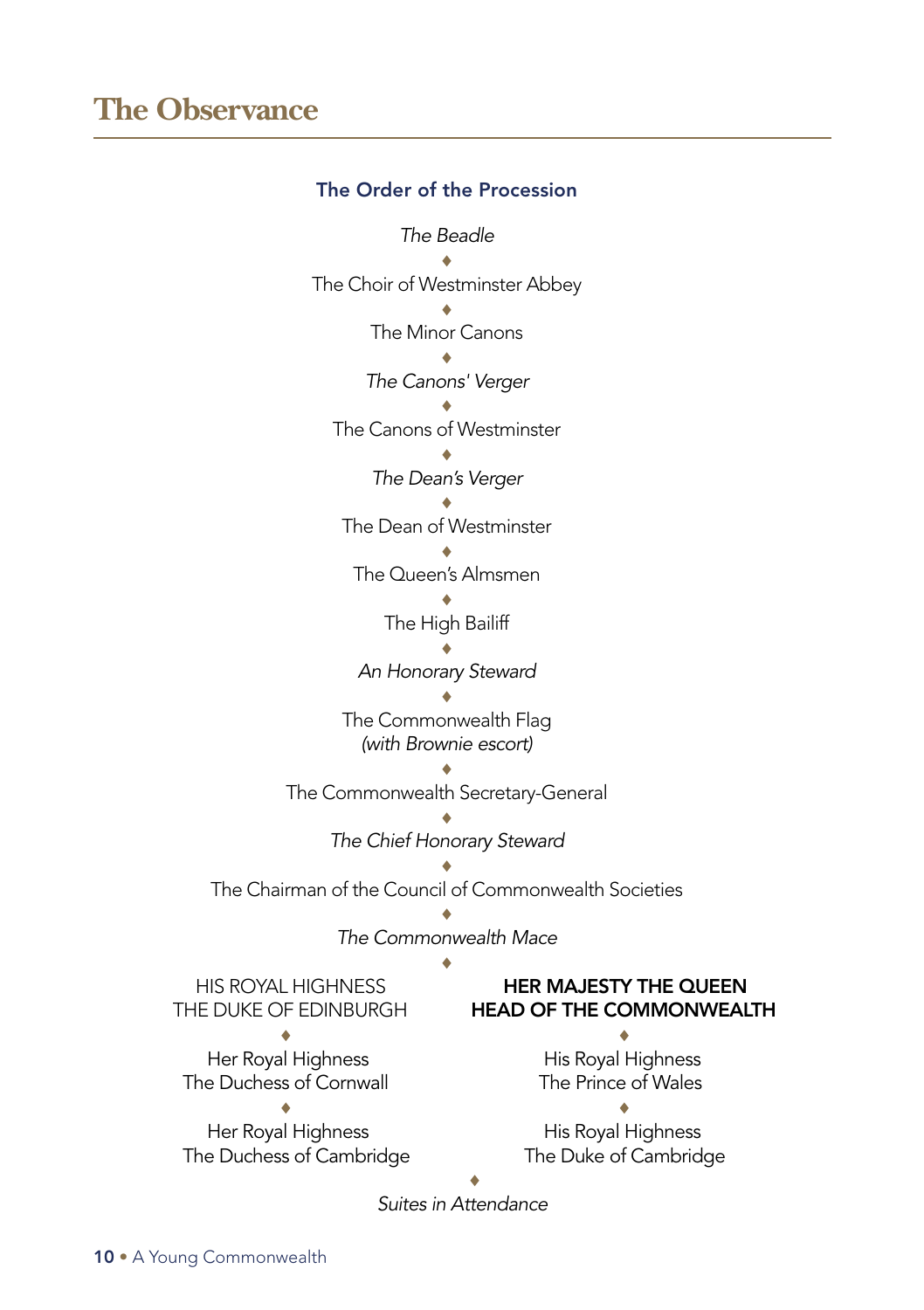#### The Order of the Procession

*The Beadle* ♦ The Choir of Westminster Abbey ♦ The Minor Canons ♦ *The Canons' Verger* ♦ The Canons of Westminster ♦ *The Dean's Verger* ♦ The Dean of Westminster ♦ The Queen's Almsmen ♦ The High Bailiff ♦ *An Honorary Steward* ♦ The Commonwealth Flag *(with Brownie escort)* ♦ The Commonwealth Secretary-General ♦ *The Chief Honorary Steward* ♦ The Chairman of the Council of Commonwealth Societies ♦ *The Commonwealth Mace* ♦ HIS ROYAL HIGHNESS **HER MAJESTY THE QUEEN** THE DUKE OF EDINBURGH **HEAD OF THE COMMONWEALTH**  ♦ ♦ Her Royal Highness His Royal Highness The Duchess of Cornwall The Prince of Wales ♦ ♦ Her Royal Highness His Royal Highness The Duchess of Cambridge The Duke of Cambridge ♦

*Suites in Attendance*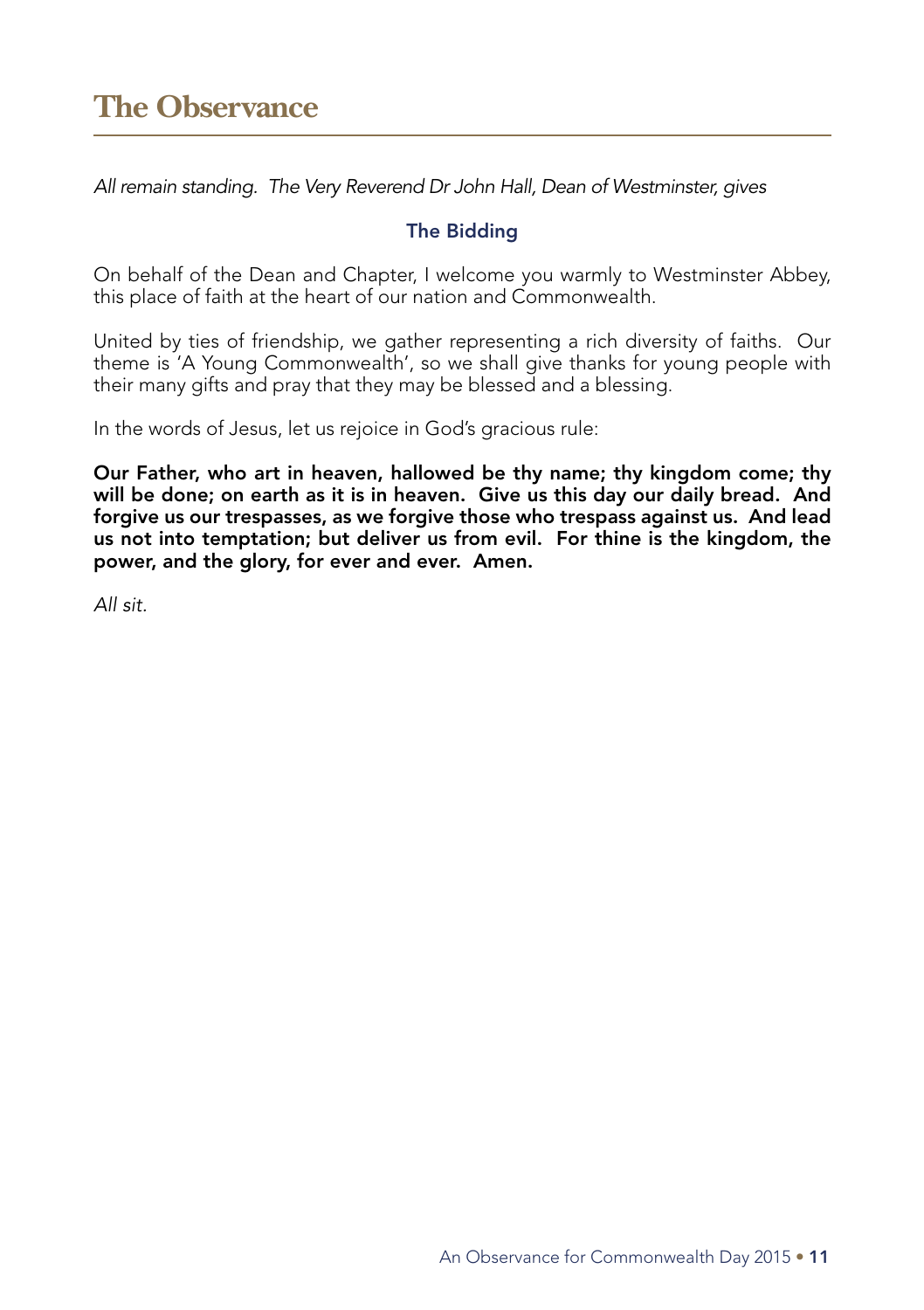*All remain standing. The Very Reverend Dr John Hall, Dean of Westminster, gives*

#### The Bidding

On behalf of the Dean and Chapter, I welcome you warmly to Westminster Abbey, this place of faith at the heart of our nation and Commonwealth.

United by ties of friendship, we gather representing a rich diversity of faiths. Our theme is 'A Young Commonwealth', so we shall give thanks for young people with their many gifts and pray that they may be blessed and a blessing.

In the words of Jesus, let us rejoice in God's gracious rule:

Our Father, who art in heaven, hallowed be thy name; thy kingdom come; thy will be done; on earth as it is in heaven. Give us this day our daily bread. And forgive us our trespasses, as we forgive those who trespass against us. And lead us not into temptation; but deliver us from evil. For thine is the kingdom, the power, and the glory, for ever and ever. Amen.

*All sit.*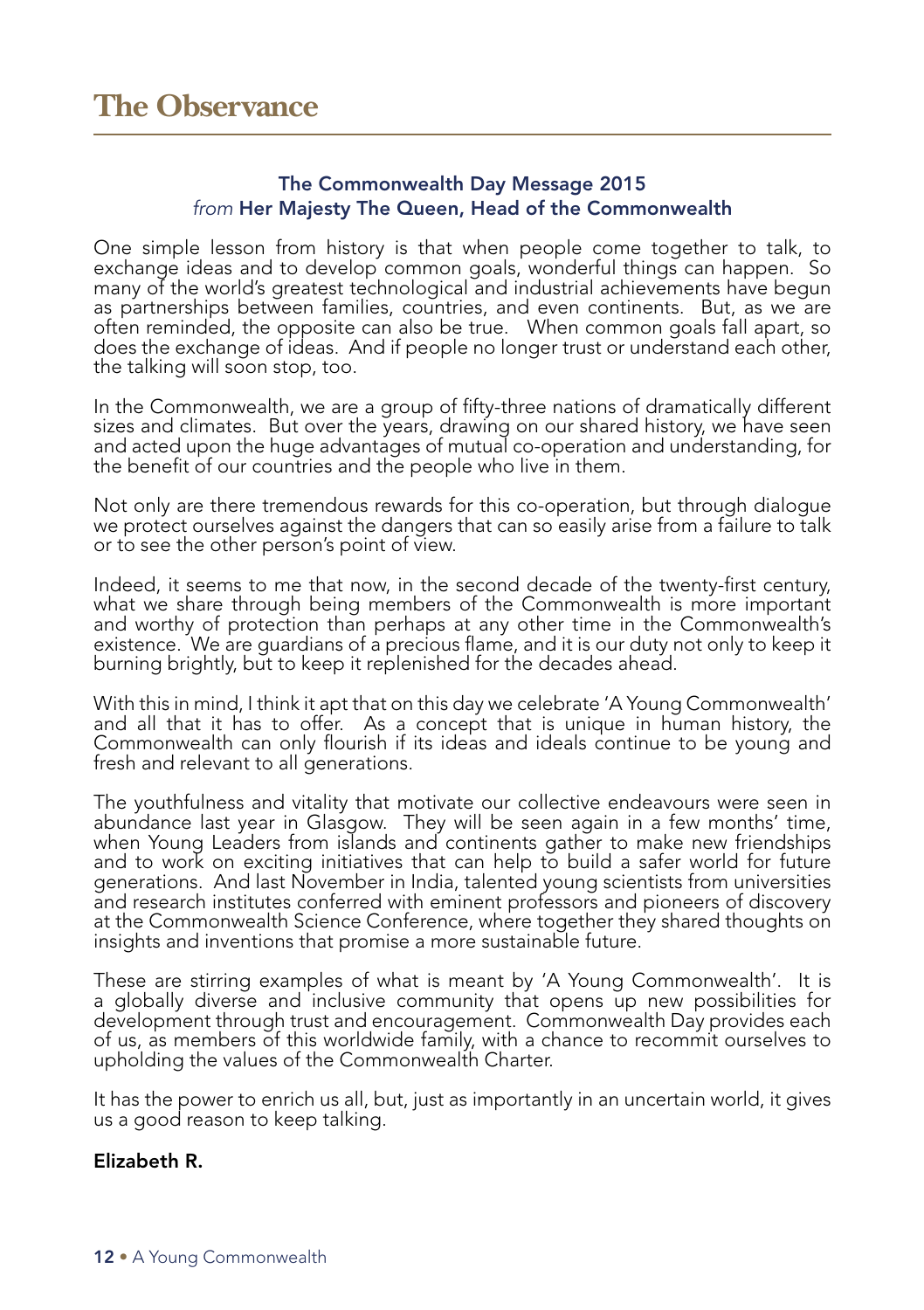#### The Commonwealth Day Message 2015 *from* Her Majesty The Queen, Head of the Commonwealth

One simple lesson from history is that when people come together to talk, to exchange ideas and to develop common goals, wonderful things can happen. So many of the world's greatest technological and industrial achievements have begun as partnerships between families, countries, and even continents. But, as we are often reminded, the opposite can also be true. When common goals fall apart, so does the exchange of ideas. And if people no longer trust or understand each other, the talking will soon stop, too.

In the Commonwealth, we are a group of fifty-three nations of dramatically different sizes and climates. But over the years, drawing on our shared history, we have seen and acted upon the huge advantages of mutual co-operation and understanding, for the benefit of our countries and the people who live in them.

Not only are there tremendous rewards for this co-operation, but through dialogue we protect ourselves against the dangers that can so easily arise from a failure to talk or to see the other person's point of view.

Indeed, it seems to me that now, in the second decade of the twenty-first century, what we share through being members of the Commonwealth is more important and worthy of protection than perhaps at any other time in the Commonwealth's existence. We are guardians of a precious flame, and it is our duty not only to keep it burning brightly, but to keep it replenished for the decades ahead.

With this in mind, I think it apt that on this day we celebrate 'A Young Commonwealth' and all that it has to offer. As a concept that is unique in human history, the Commonwealth can only flourish if its ideas and ideals continue to be young and fresh and relevant to all generations.

The youthfulness and vitality that motivate our collective endeavours were seen in abundance last year in Glasgow. They will be seen again in a few months' time, when Young Leaders from islands and continents gather to make new friendships and to work on exciting initiatives that can help to build a safer world for future generations. And last November in India, talented young scientists from universities and research institutes conferred with eminent professors and pioneers of discovery at the Commonwealth Science Conference, where together they shared thoughts on insights and inventions that promise a more sustainable future.

These are stirring examples of what is meant by 'A Young Commonwealth'. It is a globally diverse and inclusive community that opens up new possibilities for development through trust and encouragement. Commonwealth Day provides each of us, as members of this worldwide family, with a chance to recommit ourselves to upholding the values of the Commonwealth Charter.

It has the power to enrich us all, but, just as importantly in an uncertain world, it gives us a good reason to keep talking.

#### Elizabeth R.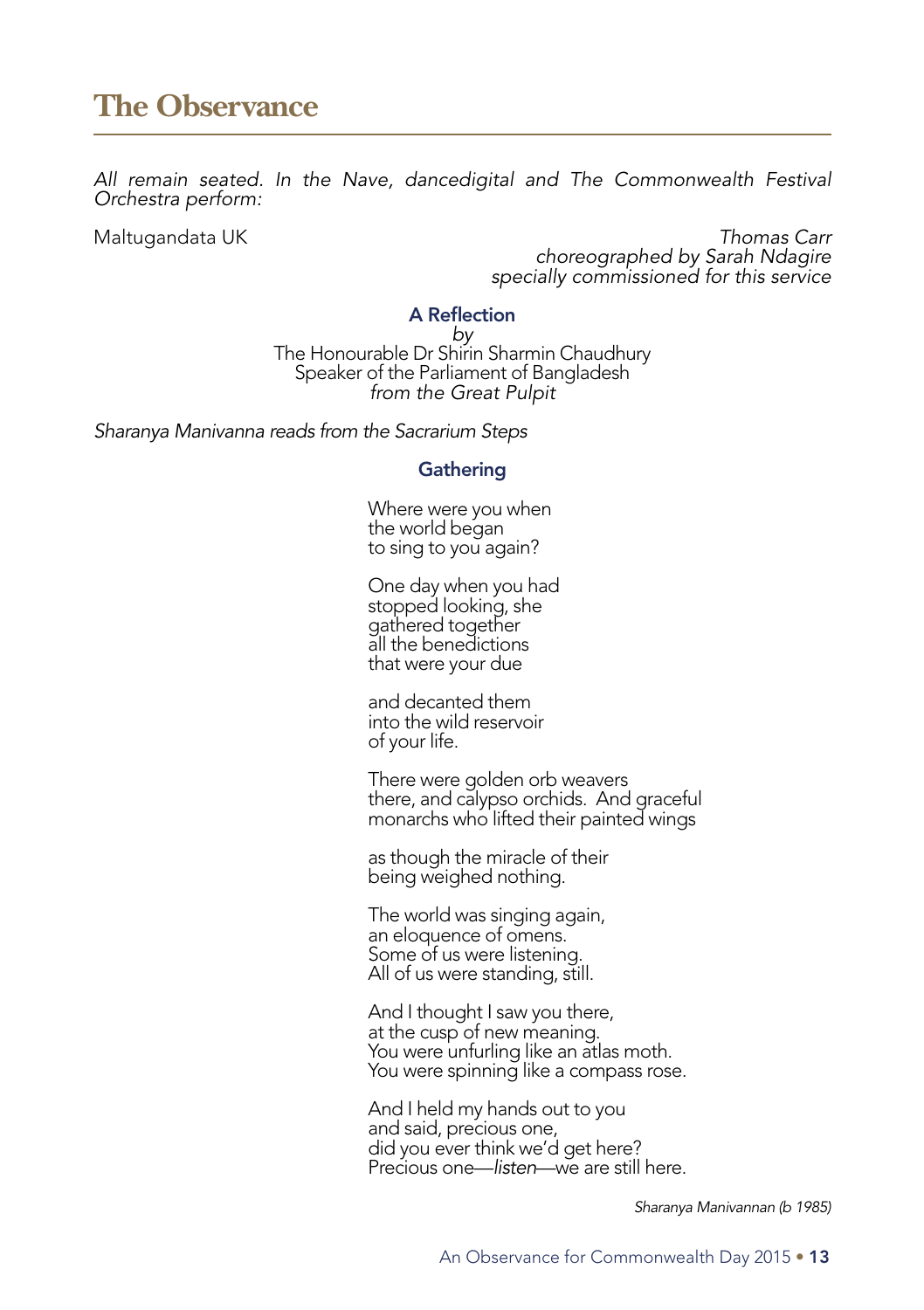*All remain seated. In the Nave, dancedigital and The Commonwealth Festival Orchestra perform:*

Maltugandata UK *Thomas Carr choreographed by Sarah Ndagire specially commissioned for this service* 

## A Reflection<br>by

*by* The Honourable Dr Shirin Sharmin Chaudhury Speaker of the Parliament of Bangladesh *from the Great Pulpit*

*Sharanya Manivanna reads from the Sacrarium Steps*

#### **Gathering**

Where were you when the world began to sing to you again?

One day when you had stopped looking, she gathered together all the benedictions that were your due

and decanted them into the wild reservoir of your life.

There were golden orb weavers there, and calypso orchids. And graceful monarchs who lifted their painted wings

as though the miracle of their being weighed nothing.

The world was singing again, an eloquence of omens. Some of us were listening. All of us were standing, still.

And I thought I saw you there, at the cusp of new meaning. You were unfurling like an atlas moth. You were spinning like a compass rose.

And I held my hands out to you and said, precious one, did you ever think we'd get here? Precious one—*listen*—we are still here.

*Sharanya Manivannan (b 1985)*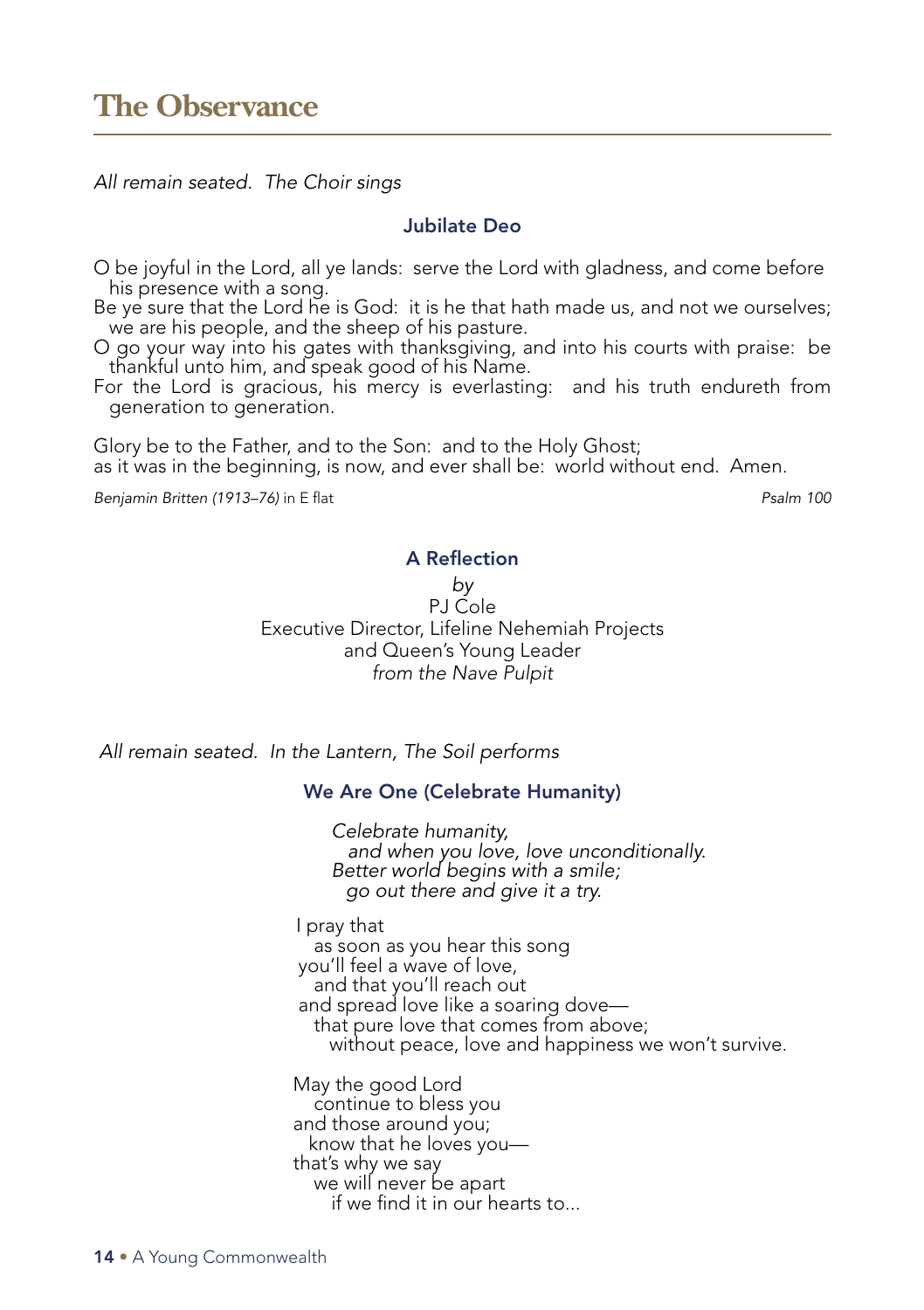*All remain seated. The Choir sings*

#### Jubilate Deo

O be joyful in the Lord, all ye lands: serve the Lord with gladness, and come before his presence with a song

Be ye sure that the Lord he is God: it is he that hath made us, and not we ourselves: we are his people, and the sheep of his pasture.

O go your way into his gates with thanksgiving, and into his courts with praise: be thankful unto him, and speak good of his Name.

For the Lord is gracious, his mercy is everlasting: and his truth endureth from generation to generation.

Glory be to the Father, and to the Son: and to the Holy Ghost; as it was in the beginning, is now, and ever shall be: world without end. Amen.

*Benjamin Britten (1913–76)* in E flat *Psalm 100*

#### A Reflection

*by* PJ Cole Executive Director, Lifeline Nehemiah Projects and Queen's Young Leader *from the Nave Pulpit*

 *All remain seated. In the Lantern, The Soil performs*

#### We Are One (Celebrate Humanity)

 *Celebrate humanity, and when you love, love unconditionally. Better world begins with a smile; go out there and give it a try.*

I pray that

 as soon as you hear this song you'll feel a wave of love, and that you'll reach out and spread love like a soaring dove that pure love that comes from above: without peace, love and happiness we won't survive.

 May the good Lord continue to bless you and those around you: know that he loves you that's why we say we will never be apart if we find it in our hearts to...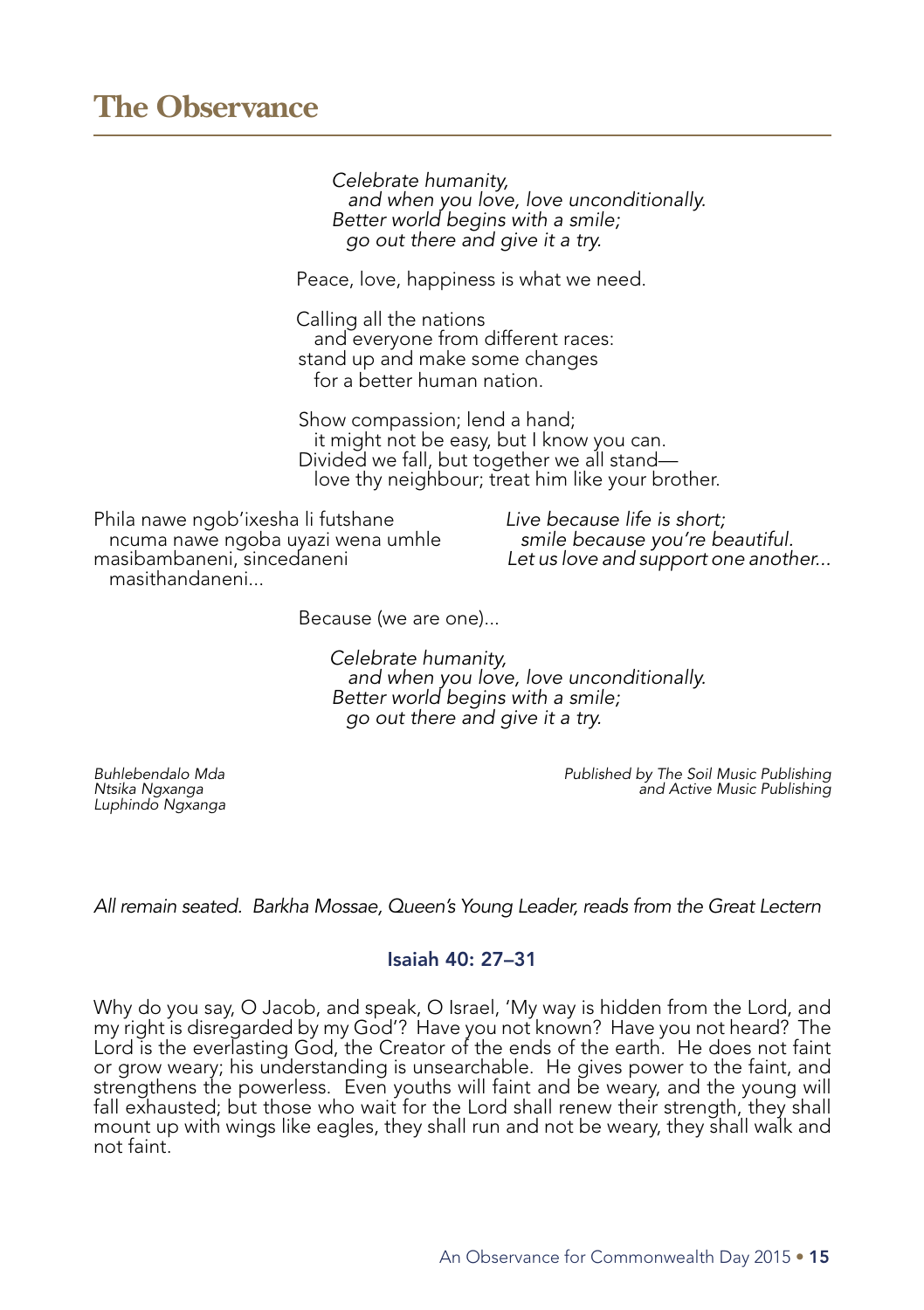*Celebrate humanity, and when you love, love unconditionally. Better world begins with a smile; go out there and give it a try.*

Peace, love, happiness is what we need.

Calling all the nations and everyone from different races: stand up and make some changes for a better human nation.

 Show compassion; lend a hand; it might not be easy, but I know you can. Divided we fall, but together we all stand love thy neighbour; treat him like your brother.

Phila nawe ngob'ixesha li futshane *Live because life is short;* ncuma nawe ngoba uyazi wena umhle *smile because you're beautiful.* masithandaneni...

Let us love and support one another...

Because (we are one)...

 *Celebrate humanity, and when you love, love unconditionally. Better world begins with a smile; go out there and give it a try.*

*Luphindo Ngxanga*

*Buhlebendalo Mda Published by The Soil Music Publishing Ntsika Ngxanga and Active Music Publishing*

*All remain seated. Barkha Mossae, Queen's Young Leader, reads from the Great Lectern*

#### Isaiah 40: 27–31

Why do you say, O Jacob, and speak, O Israel, 'My way is hidden from the Lord, and my right is disregarded by my God'? Have you not known? Have you not heard? The Lord is the everlasting God, the Creator of the ends of the earth. He does not faint or grow weary; his understanding is unsearchable. He gives power to the faint, and strengthens the powerless. Even youths will faint and be weary, and the young will fall exhausted; but those who wait for the Lord shall renew their strength, they shall mount up with wings like eagles, they shall run and not be weary, they shall walk and not faint.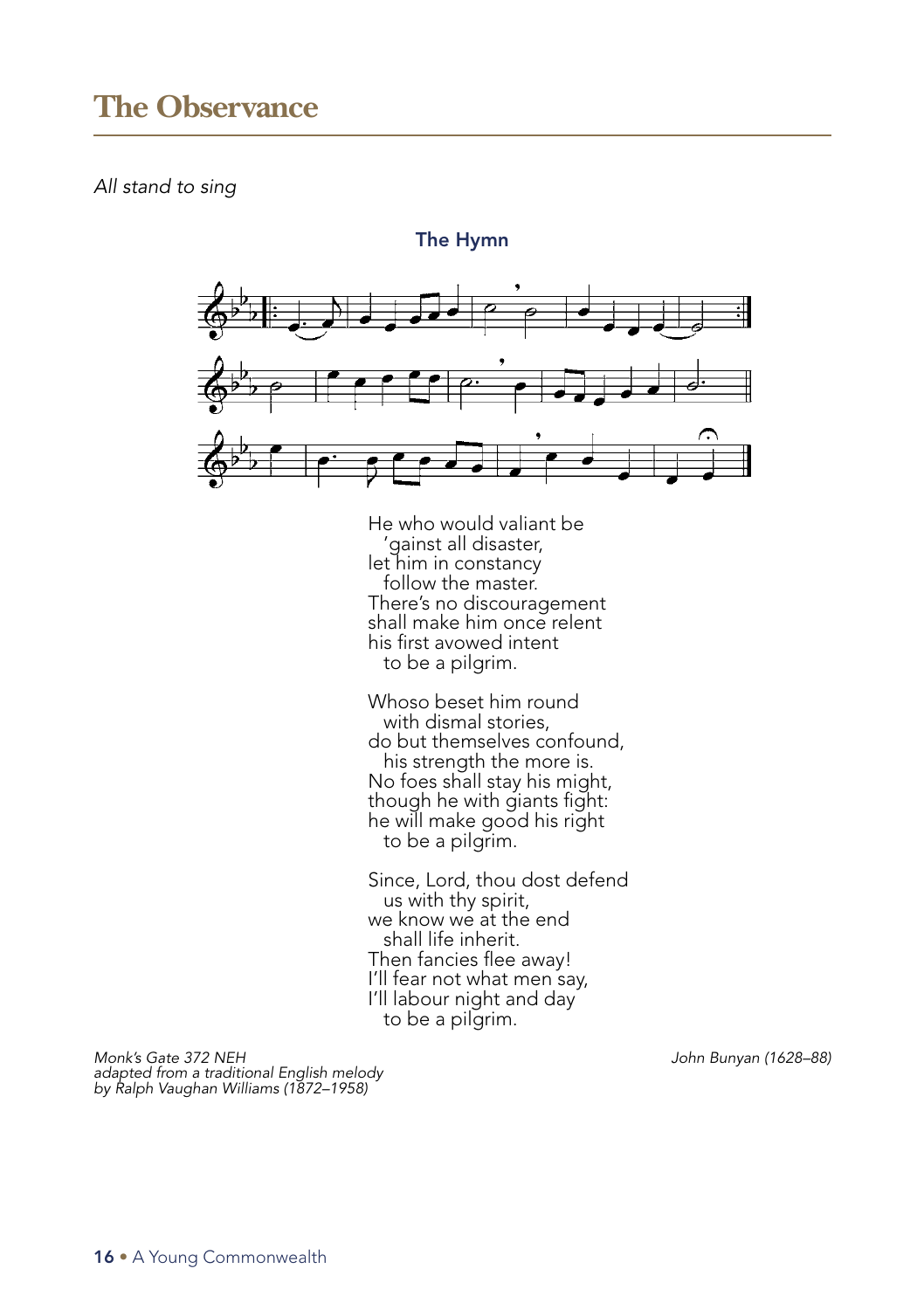#### *All stand to sing*



He who would valiant be 'gainst all disaster, let him in constancy follow the master. There's no discouragement shall make him once relent his first avowed intent to be a pilgrim.

Whoso beset him round with dismal stories, do but themselves confound, his strength the more is. No foes shall stay his might, though he with giants fight: he will make good his right to be a pilgrim.

Since, Lord, thou dost defend us with thy spirit, we know we at the end shall life inherit. Then fancies flee away! I'll fear not what men say, I'll labour night and day to be a pilgrim.

*Monk's Gate 372 NEH John Bunyan (1628–88) adapted from a traditional English melody by Ralph Vaughan Williams (1872–1958)*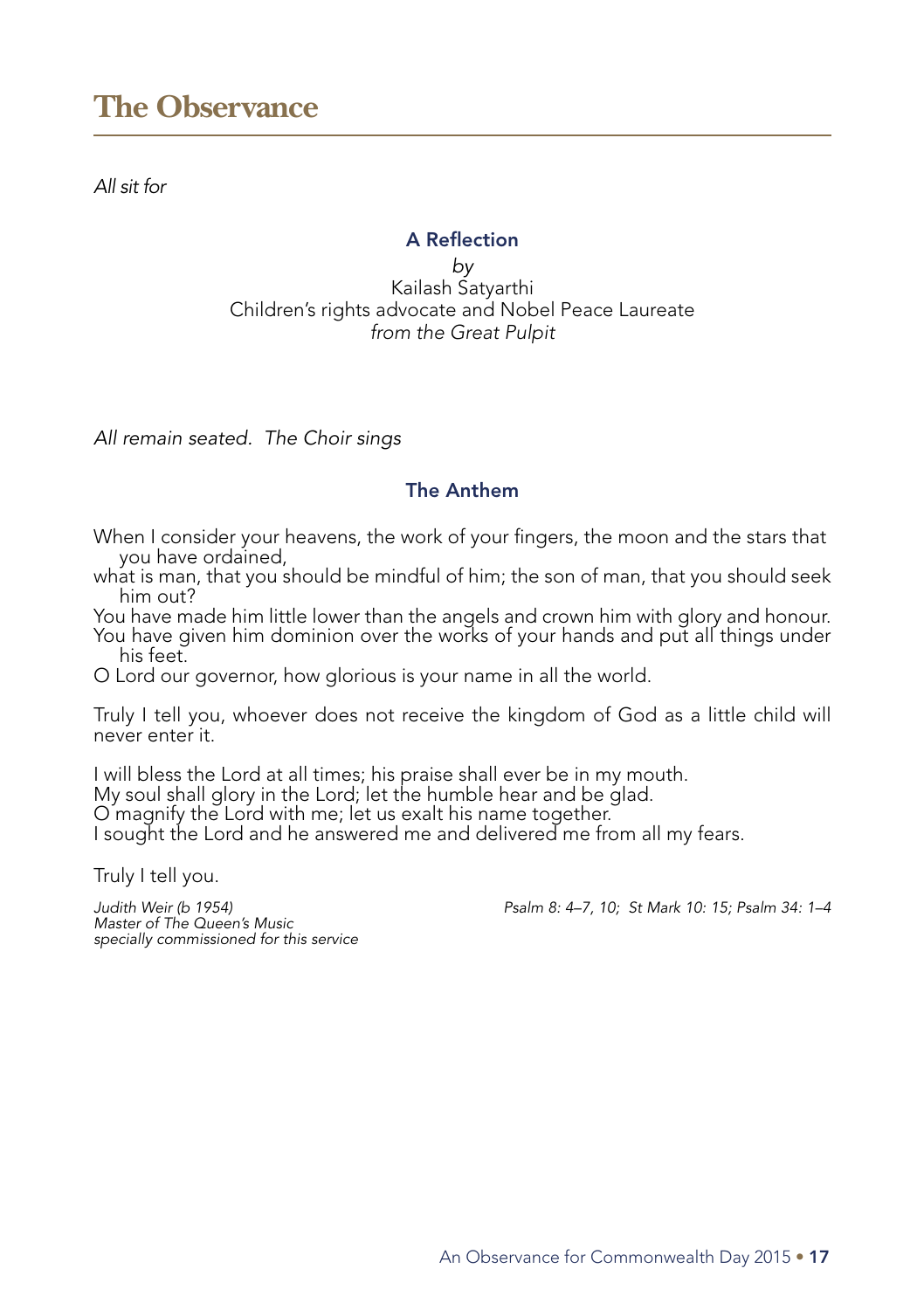*All sit for*

#### A Reflection

*by* Kailash Satyarthi Children's rights advocate and Nobel Peace Laureate *from the Great Pulpit*

*All remain seated. The Choir sings*

#### The Anthem

When I consider your heavens, the work of your fingers, the moon and the stars that you have ordained,

what is man, that you should be mindful of him; the son of man, that you should seek him out?

You have made him little lower than the angels and crown him with glory and honour. You have given him dominion over the works of your hands and put all things under his feet.

O Lord our governor, how glorious is your name in all the world.

Truly I tell you, whoever does not receive the kingdom of God as a little child will never enter it.

I will bless the Lord at all times; his praise shall ever be in my mouth. My soul shall glory in the Lord; let the humble hear and be glad. O magnify the Lord with me; let us exalt his name together. I sought the Lord and he answered me and delivered me from all my fears.

Truly I tell you.

*Master of The Queen's Music specially commissioned for this service*

*Judith Weir (b 1954) Psalm 8: 4–7, 10; St Mark 10: 15; Psalm 34: 1–4*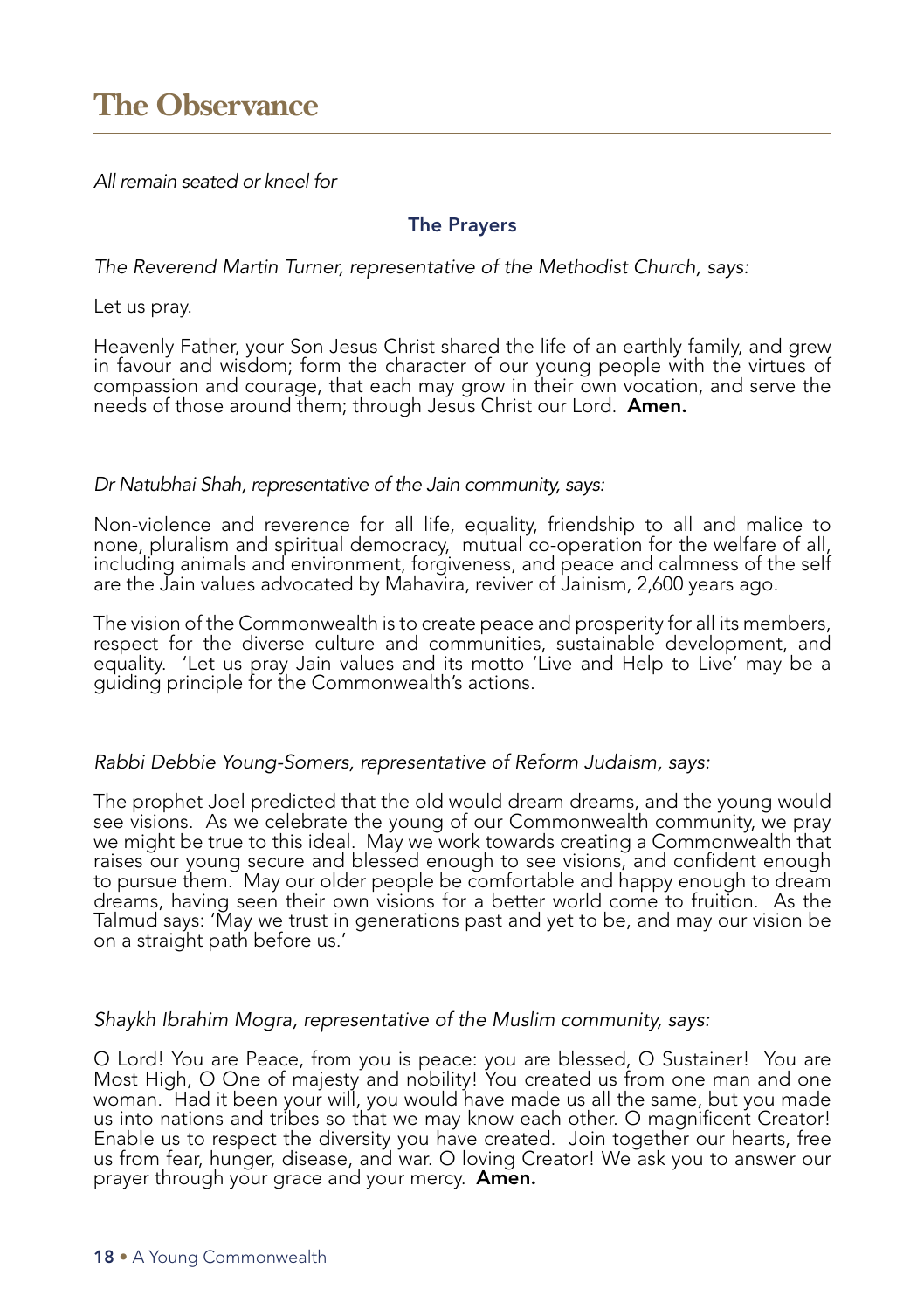*All remain seated or kneel for*

#### The Prayers

*The Reverend Martin Turner, representative of the Methodist Church, says:*

Let us pray.

Heavenly Father, your Son Jesus Christ shared the life of an earthly family, and grew in favour and wisdom; form the character of our young people with the virtues of compassion and courage, that each may grow in their own vocation, and serve the needs of those around them; through Jesus Christ our Lord. Amen.

#### *Dr Natubhai Shah, representative of the Jain community, says:*

Non-violence and reverence for all life, equality, friendship to all and malice to none, pluralism and spiritual democracy, mutual co-operation for the welfare of all, including animals and environment, forgiveness, and peace and calmness of the self are the Jain values advocated by Mahavira, reviver of Jainism, 2,600 years ago.

The vision of the Commonwealth is to create peace and prosperity for all its members, respect for the diverse culture and communities, sustainable development, and equality. 'Let us pray Jain values and its motto 'Live and Help to Live' may be a guiding principle for the Commonwealth's actions.

#### *Rabbi Debbie Young-Somers, representative of Reform Judaism, says:*

The prophet Joel predicted that the old would dream dreams, and the young would see visions. As we celebrate the young of our Commonwealth community, we pray we might be true to this ideal. May we work towards creating a Commonwealth that raises our young secure and blessed enough to see visions, and confident enough to pursue them. May our older people be comfortable and happy enough to dream dreams, having seen their own visions for a better world come to fruition. As the Talmud says: 'May we trust in generations past and yet to be, and may our vision be on a straight path before us.'

#### *Shaykh Ibrahim Mogra, representative of the Muslim community, says:*

O Lord! You are Peace, from you is peace: you are blessed, O Sustainer! You are Most High, O One of majesty and nobility! You created us from one man and one woman. Had it been your will, you would have made us all the same, but you made us into nations and tribes so that we may know each other. O magnificent Creator! Enable us to respect the diversity you have created. Join together our hearts, free us from fear, hunger, disease, and war. O loving Creator! We ask you to answer our prayer through your grace and your mercy. **Amen.**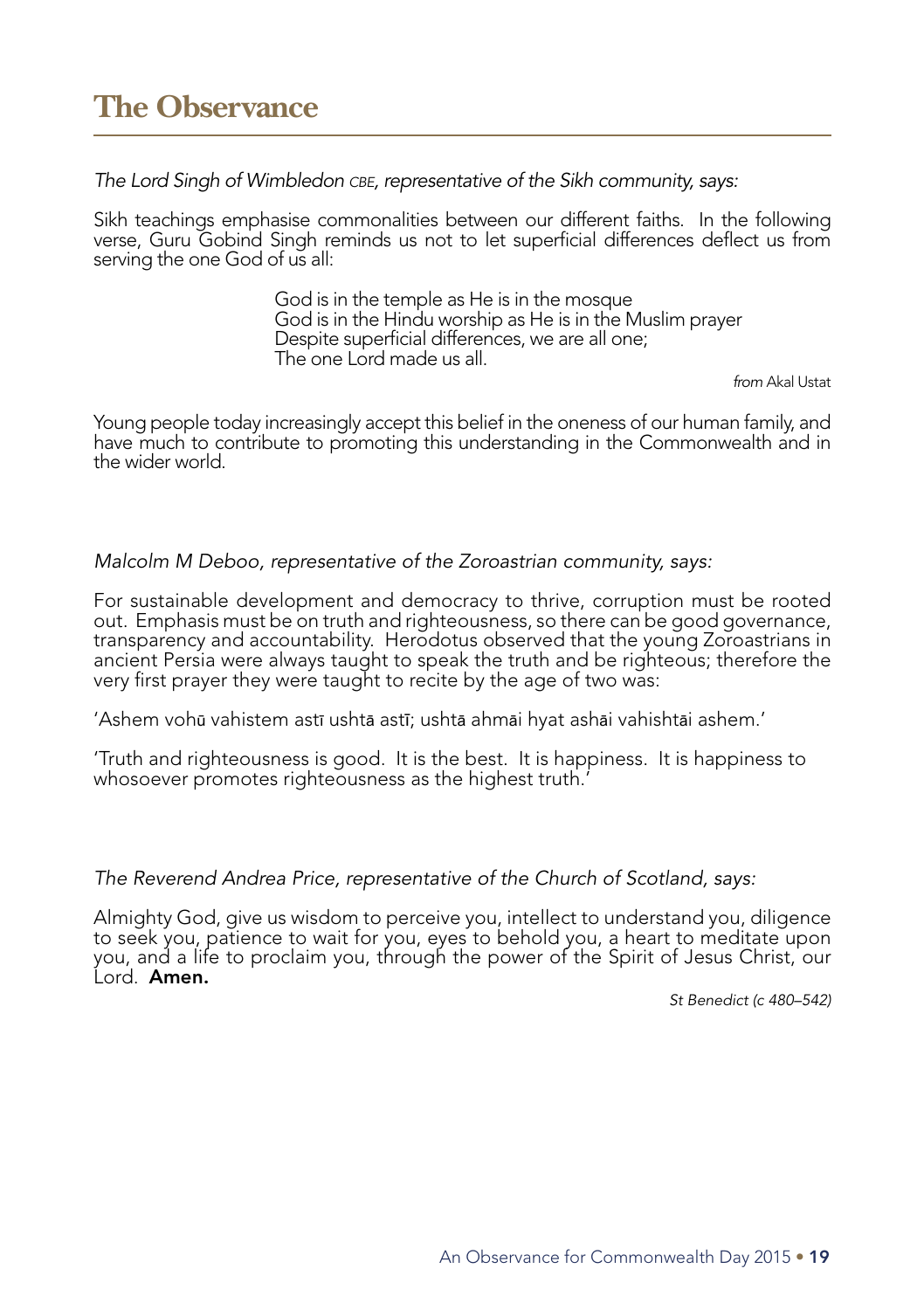*The Lord Singh of Wimbledon cbe, representative of the Sikh community, says:*

Sikh teachings emphasise commonalities between our different faiths. In the following verse, Guru Gobind Singh reminds us not to let superficial differences deflect us from serving the one God of us all:

> God is in the temple as He is in the mosque God is in the Hindu worship as He is in the Muslim prayer Despite superficial differences, we are all one: The one Lord made us all.

> > *from* Akal Ustat

Young people today increasingly accept this belief in the oneness of our human family, and have much to contribute to promoting this understanding in the Commonwealth and in the wider world.

#### *Malcolm M Deboo, representative of the Zoroastrian community, says:*

For sustainable development and democracy to thrive, corruption must be rooted out. Emphasis must be on truth and righteousness, so there can be good governance, transparency and accountability. Herodotus observed that the young Zoroastrians in ancient Persia were always taught to speak the truth and be righteous; therefore the very first prayer they were taught to recite by the age of two was:

'Ashem vohū vahistem astī ushtā astī; ushtā ahmāi hyat ashāi vahishtāi ashem.'

'Truth and righteousness is good. It is the best. It is happiness. It is happiness to whosoever promotes righteousness as the highest truth.

*The Reverend Andrea Price, representative of the Church of Scotland, says:*

Almighty God, give us wisdom to perceive you, intellect to understand you, diligence to seek you, patience to wait for you, eyes to behold you, a heart to meditate upon you, and a life to proclaim you, through the power of the Spirit of Jesus Christ, our  $1$  ord. Amen.

*St Benedict (c 480–542)*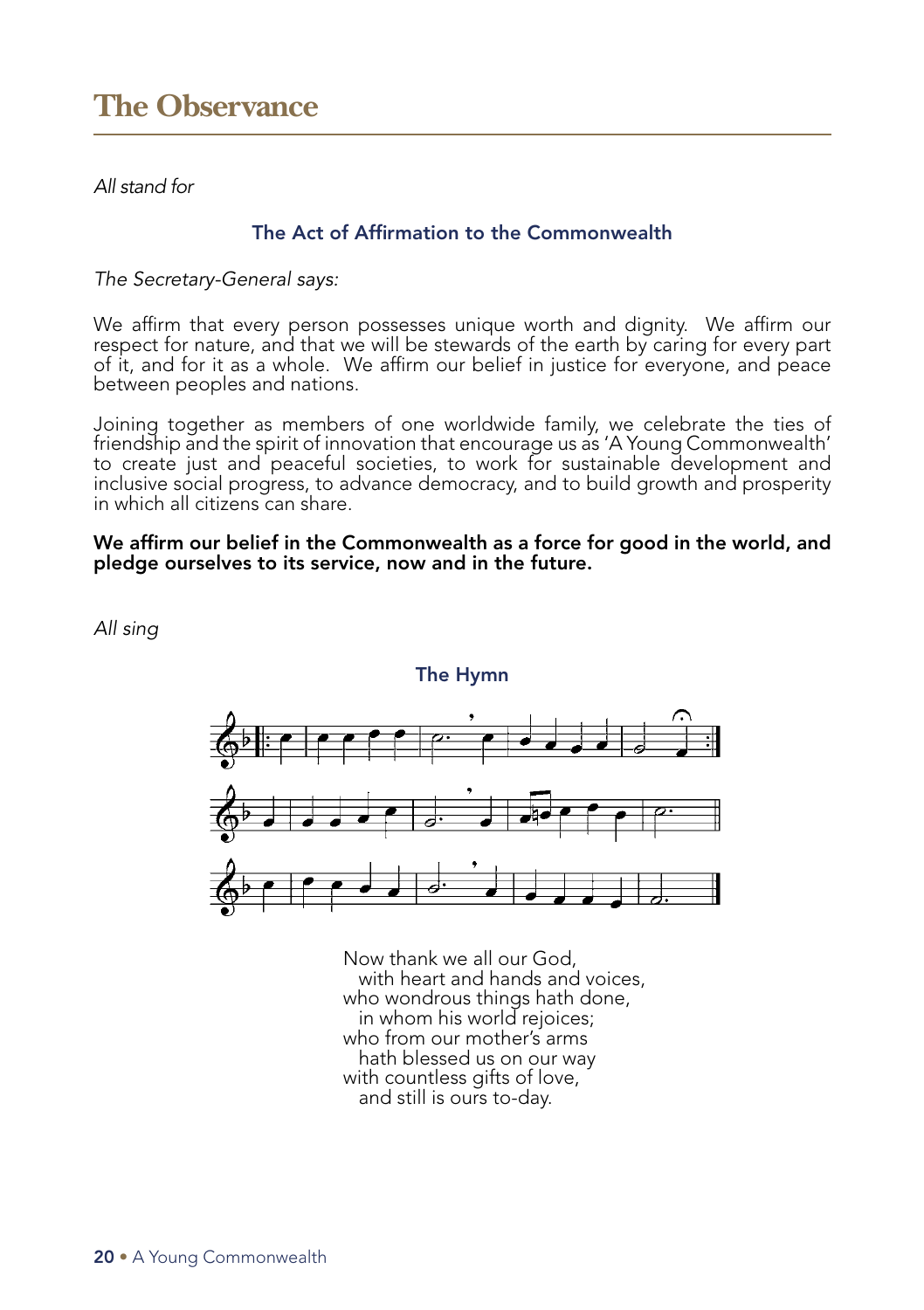*All stand for*

#### The Act of Affirmation to the Commonwealth

*The Secretary-General says:* 

We affirm that every person possesses unique worth and dignity. We affirm our respect for nature, and that we will be stewards of the earth by caring for every part of it, and for it as a whole. We affirm our belief in justice for everyone, and peace between peoples and nations.

Joining together as members of one worldwide family, we celebrate the ties of friendship and the spirit of innovation that encourage us as 'A Young Commonwealth' to create just and peaceful societies, to work for sustainable development and inclusive social progress, to advance democracy, and to build growth and prosperity in which all citizens can share.

#### We affirm our belief in the Commonwealth as a force for good in the world, and pledge ourselves to its service, now and in the future.

*All sing*



Now thank we all our God, with heart and hands and voices, who wondrous things hath done, in whom his world rejoices; who from our mother's arms hath blessed us on our way with countless gifts of love, and still is ours to-day.

The Hymn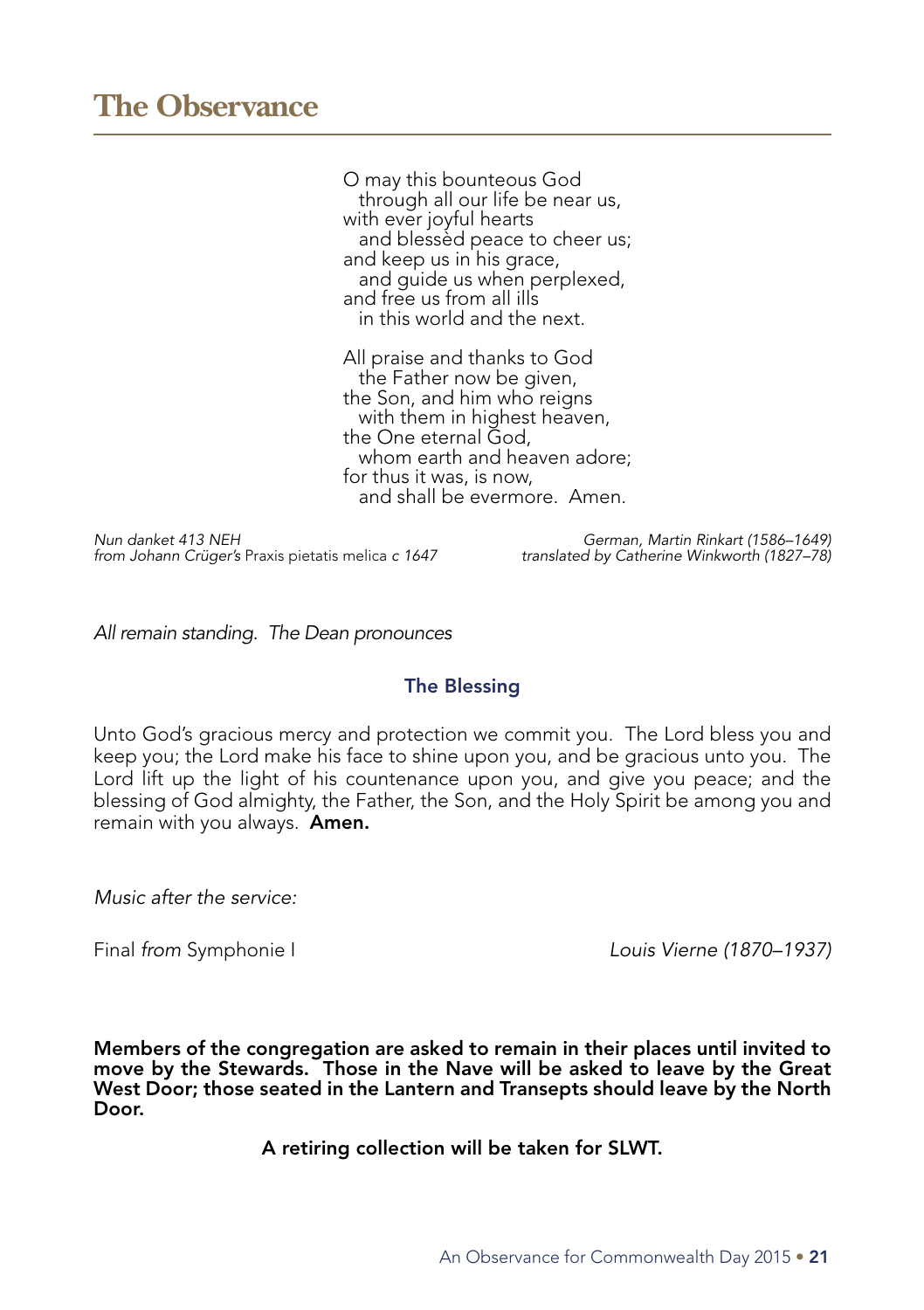O may this bounteous God through all our life be near us, with ever joyful hearts and blessèd peace to cheer us; and keep us in his grace, and guide us when perplexed, and free us from all ills in this world and the next.

All praise and thanks to God the Father now be given, the Son, and him who reigns with them in highest heaven, the One eternal God, whom earth and heaven adore: for thus it was, is now, and shall be evermore. Amen.

*Nun danket 413 NEH German, Martin Rinkart (1586–1649) from Johann Crüger's* Praxis pietatis melica *c 1647 translated by Catherine Winkworth (1827–78)*

*All remain standing. The Dean pronounces* 

#### The Blessing

Unto God's gracious mercy and protection we commit you. The Lord bless you and keep you; the Lord make his face to shine upon you, and be gracious unto you. The Lord lift up the light of his countenance upon you, and give you peace; and the blessing of God almighty, the Father, the Son, and the Holy Spirit be among you and remain with you always. **Amen.** 

*Music after the service:* 

Final *from* Symphonie I *Louis Vierne (1870–1937)*

Members of the congregation are asked to remain in their places until invited to move by the Stewards. Those in the Nave will be asked to leave by the Great West Door; those seated in the Lantern and Transepts should leave by the North Door.

A retiring collection will be taken for SLWT.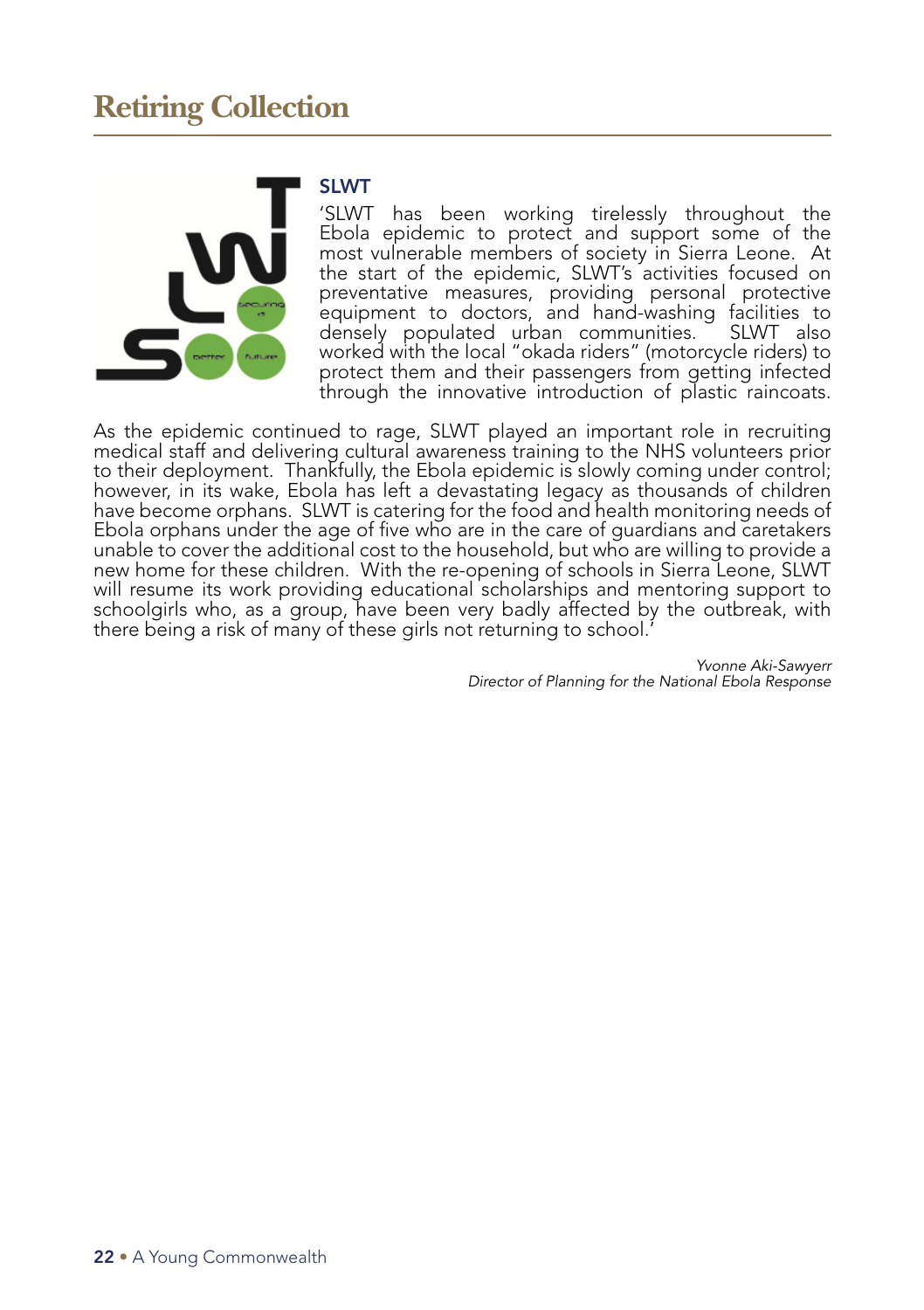

### SLWT

'SLWT has been working tirelessly throughout the Ebola epidemic to protect and support some of the most vulnerable members of society in Sierra Leone. At the start of the epidemic, SLWT's activities focused on preventative measures, providing personal protective equipment to doctors, and hand-washing facilities to densely populated urban communities. worked with the local "okada riders" (motorcycle riders) to protect them and their passengers from getting infected through the innovative introduction of plastic raincoats.

As the epidemic continued to rage, SLWT played an important role in recruiting medical staff and delivering cultural awareness training to the NHS volunteers prior to their deployment. Thankfully, the Ebola epidemic is slowly coming under control; however, in its wake, Ebola has left a devastating legacy as thousands of children have become orphans. SLWT is catering for the food and health monitoring needs of Ebola orphans under the age of five who are in the care of guardians and caretakers unable to cover the additional cost to the household, but who are willing to provide a new home for these children. With the re-opening of schools in Sierra Leone, SLWT will resume its work providing educational scholarships and mentoring support to schoolgirls who, as a group, have been very badly affected by the outbreak, with there being a risk of many of these girls not returning to school.'

*Yvonne Aki-Sawyerr Director of Planning for the National Ebola Response*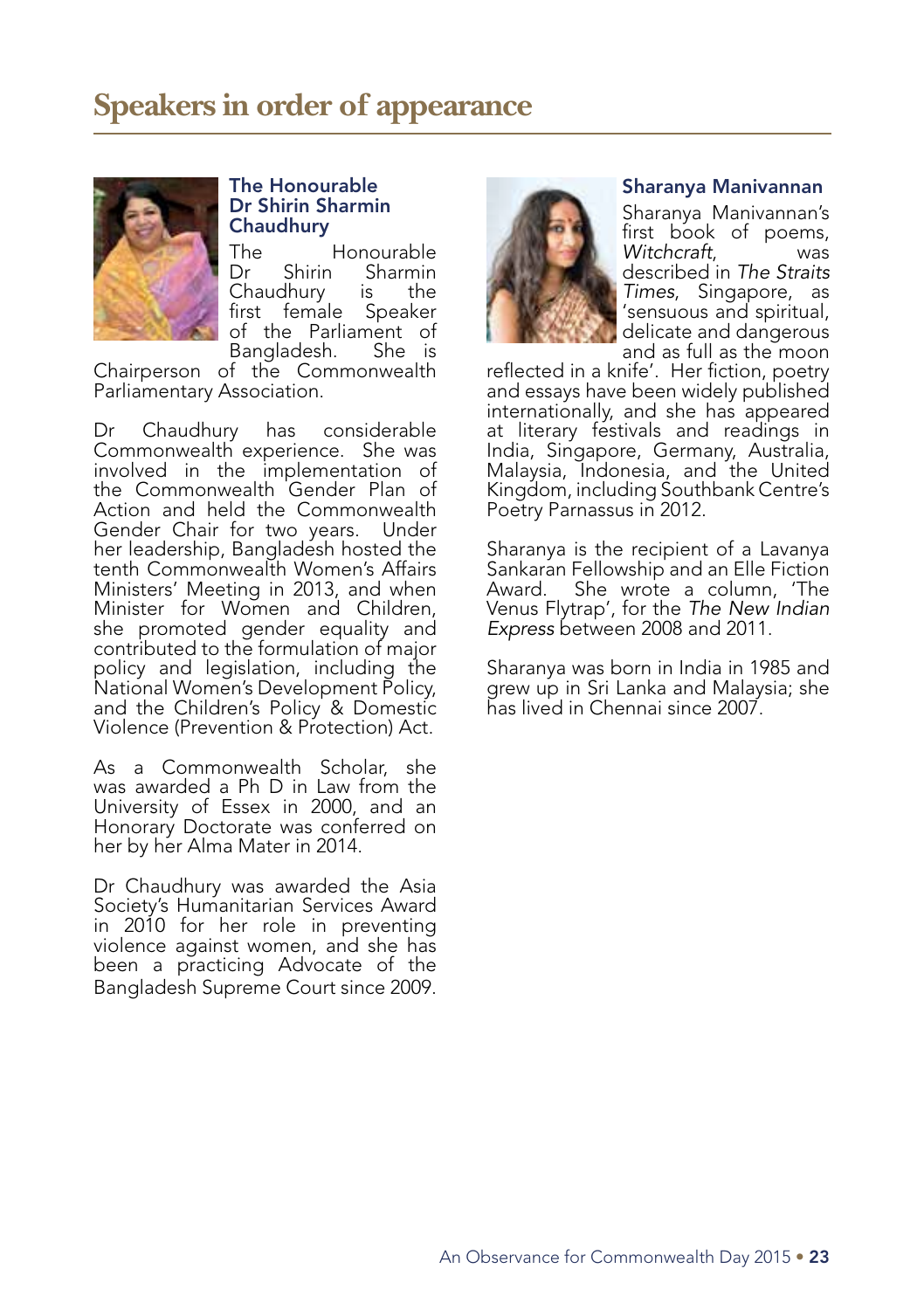### **Speakers in order of appearance**



#### The Honourable Dr Shirin Sharmin **Chaudhury**

The Honourable<br>Dr Shirin Sharmin Sharmin<br>is the Chaudhury first female Speaker of the Parliament of<br>Bangladesh. She is Bangladesh.

Chairperson of the Commonwealth Parliamentary Association.

Dr Chaudhury has considerable Commonwealth experience. She was involved in the implementation of the Commonwealth Gender Plan of Action and held the Commonwealth Gender Chair for two years. Under her leadership, Bangladesh hosted the tenth Commonwealth Women's Affairs Ministers' Meeting in 2013, and when Minister for Women and Children, she promoted gender equality and contributed to the formulation of major policy and legislation, including the National Women's Development Policy, and the Children's Policy & Domestic Violence (Prevention & Protection) Act.

As a Commonwealth Scholar, she was awarded a Ph D in Law from the University of Essex in 2000, and an Honorary Doctorate was conferred on her by her Alma Mater in 2014.

Dr Chaudhury was awarded the Asia Society's Humanitarian Services Award in 2010 for her role in preventing violence against women, and she has been a practicing Advocate of the Bangladesh Supreme Court since 2009.



#### Sharanya Manivannan

Sharanya Manivannan's first book of poems,<br>Witchcraft *Witchcraft*, described in *The Straits Times*, Singapore, as 'sensuous and spiritual, delicate and dangerous and as full as the moon

reflected in a knife'. Her fiction, poetry and essays have been widely published internationally, and she has appeared at literary festivals and readings in India, Singapore, Germany, Australia, Malaysia, Indonesia, and the United Kingdom, including Southbank Centre's Poetry Parnassus in 2012.

Sharanya is the recipient of a Lavanya Sankaran Fellowship and an Elle Fiction Award. She wrote a column, 'The Venus Flytrap', for the *The New Indian Express* between 2008 and 2011.

Sharanya was born in India in 1985 and grew up in Sri Lanka and Malaysia; she has lived in Chennai since 2007.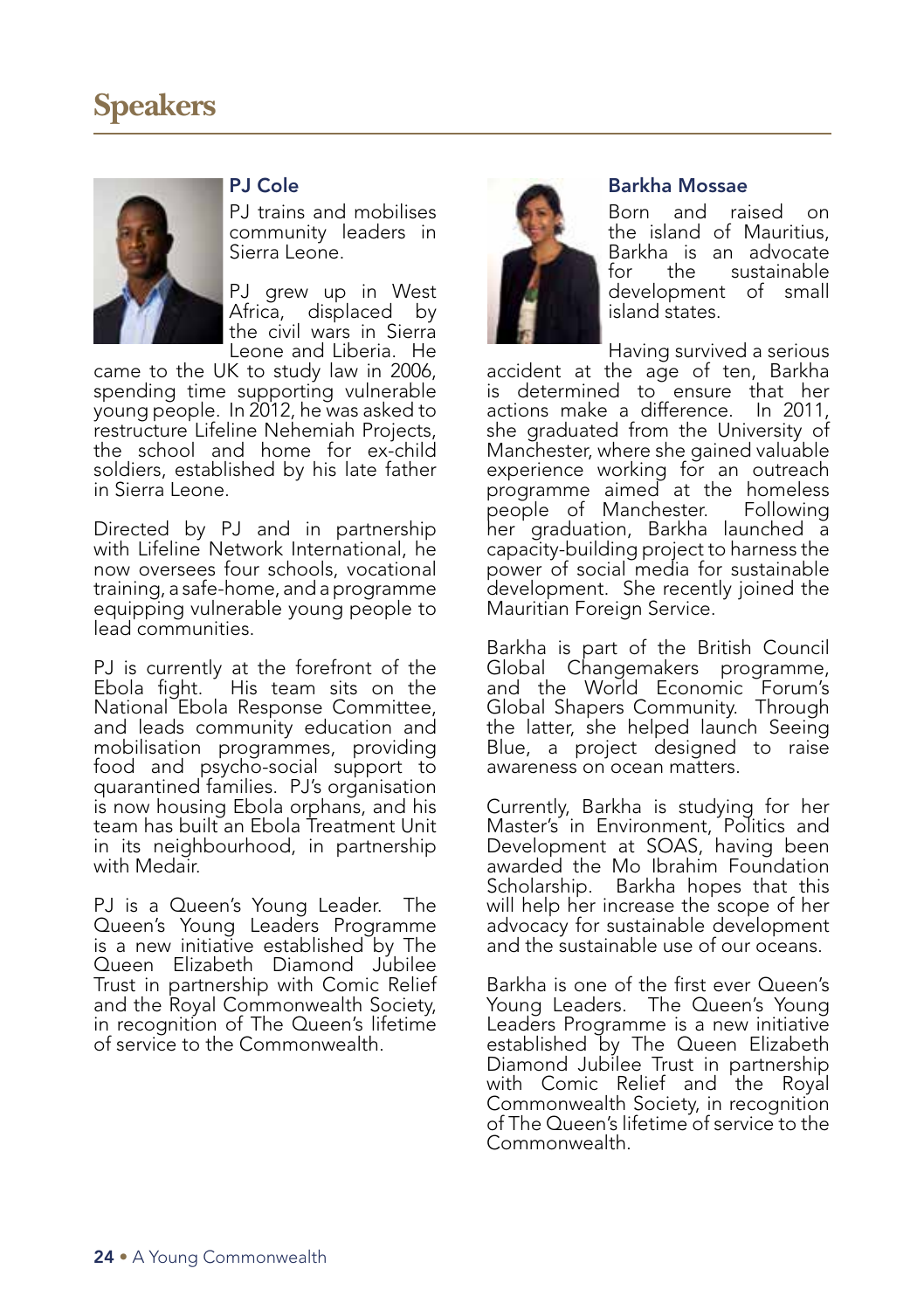#### PJ Cole

PJ trains and mobilises community leaders in Sierra Leone.

PJ grew up in West Africa, displaced by the civil wars in Sierra Leone and Liberia. He

came to the UK to study law in 2006, spending time supporting vulnerable young people. In 2012, he was asked to restructure Lifeline Nehemiah Projects, the school and home for ex-child soldiers, established by his late father in Sierra Leone.

Directed by PJ and in partnership with Lifeline Network International, he now oversees four schools, vocational training, a safe-home, and a programme equipping vulnerable young people to lead communities.

PJ is currently at the forefront of the Ebola fight. His team sits on the National Ebola Response Committee, and leads community education and mobilisation programmes, providing food and psycho-social support to quarantined families. PJ's organisation is now housing Ebola orphans, and his team has built an Ebola Treatment Unit in its neighbourhood, in partnership with Medair.

PJ is a Queen's Young Leader. The Queen's Young Leaders Programme is a new initiative established by The Queen Elizabeth Diamond Jubilee Trust in partnership with Comic Relief and the Royal Commonwealth Society, in recognition of The Queen's lifetime of service to the Commonwealth.



#### Barkha Mossae

Born and raised on the island of Mauritius, Barkha is an advocate<br>for the sustainable sustainable development of small island states.

Having survived a serious accident at the age of ten, Barkha is determined to ensure that her actions make a difference. In 2011, she graduated from the University of Manchester, where she gained valuable experience working for an outreach programme aimed at the homeless people of Manchester. her graduation, Barkha launched a capacity-building project to harness the power of social media for sustainable development. She recently joined the Mauritian Foreign Service.

Barkha is part of the British Council Global Changemakers programme, and the World Economic Forum's Global Shapers Community. Through the latter, she helped launch Seeing Blue, a project designed to raise awareness on ocean matters.

Currently, Barkha is studying for her Master's in Environment, Politics and Development at SOAS, having been awarded the Mo Ibrahim Foundation Scholarship. Barkha hopes that this will help her increase the scope of her advocacy for sustainable development and the sustainable use of our oceans.

Barkha is one of the first ever Queen's Young Leaders. The Queen's Young Leaders Programme is a new initiative established by The Queen Elizabeth Diamond Jubilee Trust in partnership with Comic Relief and the Royal Commonwealth Society, in recognition of The Queen's lifetime of service to the Commonwealth.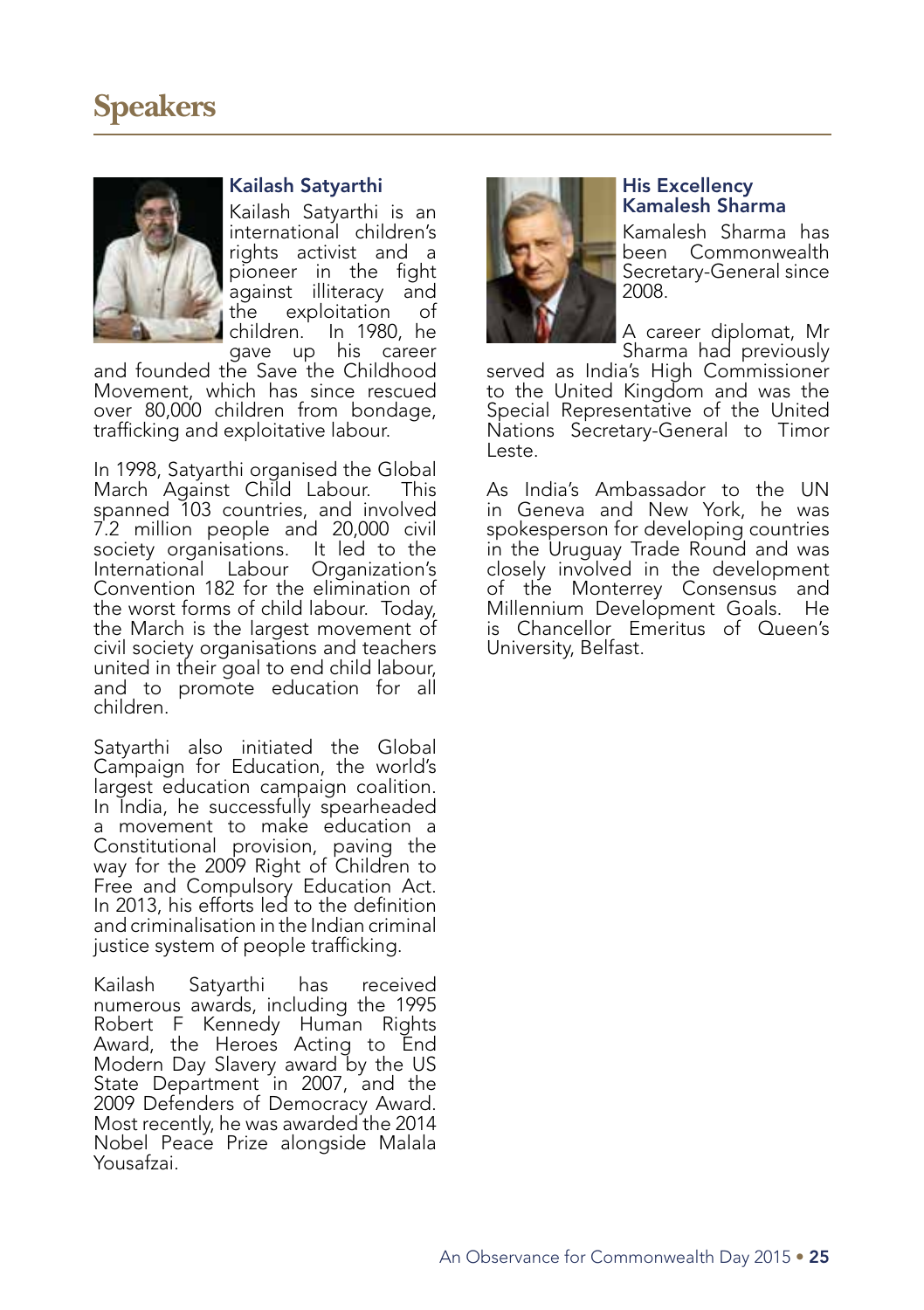

#### Kailash Satyarthi

Kailash Satyarthi is an international children's rights activist and a pioneer in the fight against illiteracy and<br>the exploitation of exploitation children. In 1980, he gave up his career

and founded the Save the Childhood Movement, which has since rescued over 80,000 children from bondage, trafficking and exploitative labour.

In 1998, Satyarthi organised the Global March Against Child Labour. spanned 103 countries, and involved 7.2 million people and 20,000 civil society organisations. It led to the International Labour Organization's Convention 182 for the elimination of the worst forms of child labour. Today, the March is the largest movement of civil society organisations and teachers united in their goal to end child labour, and to promote education for all children.

Satyarthi also initiated the Global Campaign for Education, the world's largest education campaign coalition. In India, he successfully spearheaded a movement to make education a Constitutional provision, paving the way for the 2009 Right of Children to Free and Compulsory Education Act. In 2013, his efforts led to the definition and criminalisation in the Indian criminal justice system of people trafficking.

Kailash Satyarthi has received numerous awards, including the 1995 Robert F Kennedy Human Rights Award, the Heroes Acting to End Modern Day Slavery award by the US State Department in 2007, and the 2009 Defenders of Democracy Award. Most recently, he was awarded the 2014 Nobel Peace Prize alongside Malala Yousafzai.



#### His Excellency Kamalesh Sharma

Kamalesh Sharma has been Commonwealth Secretary-General since 2008.

A career diplomat, Mr Sharma had previously

served as India's High Commissioner to the United Kingdom and was the Special Representative of the United Nations Secretary-General to Timor Leste.

As India's Ambassador to the UN in Geneva and New York, he was spokesperson for developing countries in the Uruguay Trade Round and was closely involved in the development of the Monterrey Consensus and Millennium Development Goals. He is Chancellor Emeritus of Queen's University, Belfast.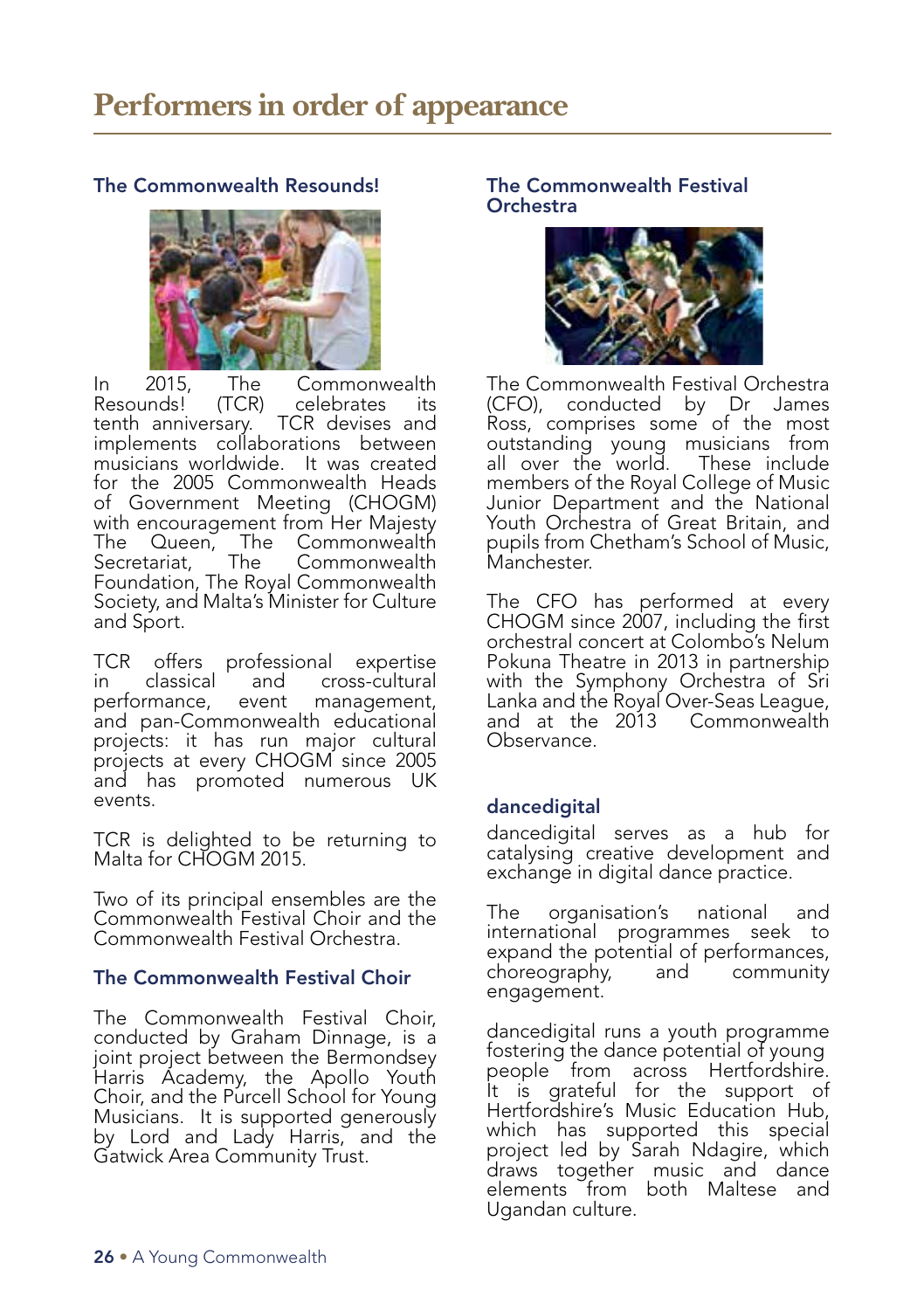The Commonwealth Resounds!



In 2015, The Commonwealth<br>Resounds! (TCR) celebrates its Resounds! (TCR) celebrates its<br>tenth\_anniversary. TCR\_devises\_and TCR devises and implements collaborations between musicians worldwide. It was created for the 2005 Commonwealth Heads of Government Meeting (CHOGM) with encouragement from Her Majesty The Queen, The Commonwealth<br>Secretariat. The Commonwealth Commonwealth Foundation, The Royal Commonwealth Society, and Malta's Minister for Culture and Sport.

TCR offers professional expertise<br>in classical and cross-cultural in classical and cross-cultural performance, event management, and pan-Commonwealth educational projects: it has run major cultural projects at every CHOGM since 2005 and has promoted numerous UK events.

TCR is delighted to be returning to Malta for CHOGM 2015

Two of its principal ensembles are the Commonwealth Festival Choir and the Commonwealth Festival Orchestra.

#### The Commonwealth Festival Choir

The Commonwealth Festival Choir, conducted by Graham Dinnage, is a joint project between the Bermondsey Harris Academy, the Apollo Youth Choir, and the Purcell School for Young Musicians. It is supported generously by Lord and Lady Harris, and the Gatwick Area Community Trust.

#### The Commonwealth Festival Orchestra



The Commonwealth Festival Orchestra (CFO), conducted by Dr James Ross, comprises some of the most outstanding young musicians from all over the world. These include members of the Royal College of Music Junior Department and the National Youth Orchestra of Great Britain, and pupils from Chetham's School of Music, Manchester.

The CFO has performed at every CHOGM since 2007, including the first orchestral concert at Colombo's Nelum Pokuna Theatre in 2013 in partnership with the Symphony Orchestra of Sri Lanka and the Royal Over-Seas League, and at the 2013 Commonwealth Observance.

#### dancedigital

dancedigital serves as a hub for catalysing creative development and exchange in digital dance practice.

The organisation's national and international programmes seek to expand the potential of performances,<br>choreography, and community choreography, and community engagement.

dancedigital runs a youth programme fostering the dance potential of young people from across Hertfordshire. It is grateful for the support of Hertfordshire's Music Education Hub, which has supported this special project led by Sarah Ndagire, which draws together music and dance elements from both Maltese and Ugandan culture.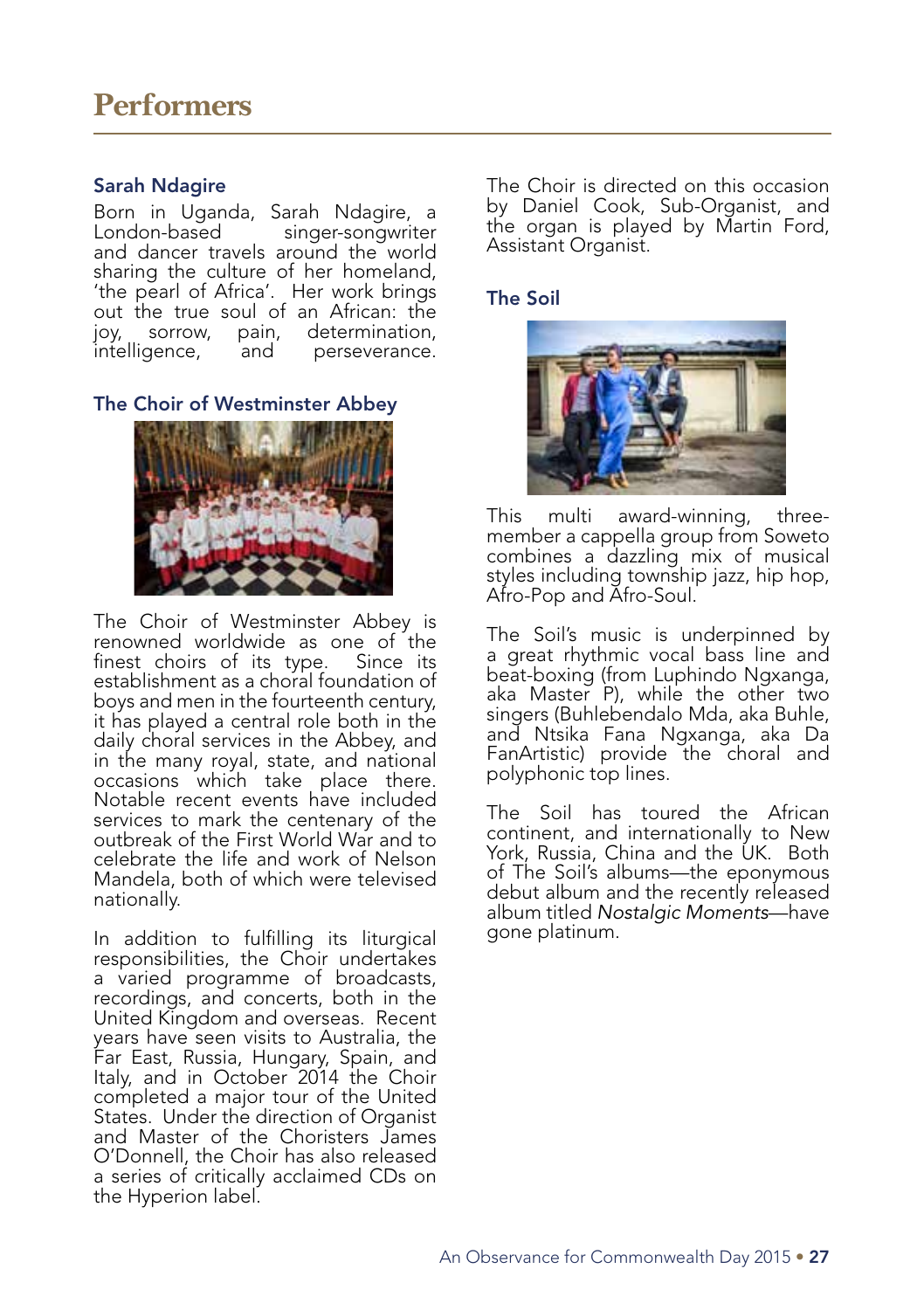#### Sarah Ndagire

Born in Uganda, Sarah Ndagire, a singer-songwriter and dancer travels around the world sharing the culture of her homeland, 'the pearl of Africa'. Her work brings out the true soul of an African: the<br>joy, sorrow, pain, determination, joy, sorrow, pain, determination,<br>intelligence, and perseverance. perseverance.

#### The Choir of Westminster Abbey



The Choir of Westminster Abbey is renowned worldwide as one of the finest choirs of its type. Since its establishment as a choral foundation of boys and men in the fourteenth century, it has played a central role both in the daily choral services in the Abbey, and in the many royal, state, and national occasions which take place there. Notable recent events have included services to mark the centenary of the outbreak of the First World War and to celebrate the life and work of Nelson Mandela, both of which were televised nationally.

In addition to fulfilling its liturgical responsibilities, the Choir undertakes a varied programme of broadcasts, recordings, and concerts, both in the United Kingdom and overseas. Recent years have seen visits to Australia, the Far East, Russia, Hungary, Spain, and Italy, and in October 2014 the Choir completed a major tour of the United States. Under the direction of Organist and Master of the Choristers James O'Donnell, the Choir has also released a series of critically acclaimed CDs on the Hyperion label.

The Choir is directed on this occasion by Daniel Cook, Sub-Organist, and the organ is played by Martin Ford, Assistant Organist.

#### The Soil



This multi award-winning, threemember a cappella group from Soweto combines a dazzling mix of musical styles including township jazz, hip hop, Afro-Pop and Afro-Soul.

The Soil's music is underpinned by a great rhythmic vocal bass line and beat-boxing (from Luphindo Ngxanga, aka Master P), while the other two singers (Buhlebendalo Mda, aka Buhle, and Ntsika Fana Ngxanga, aka Da FanArtistic) provide the choral and polyphonic top lines.

The Soil has toured the African continent, and internationally to New York, Russia, China and the UK. Both of The Soil's albums—the eponymous debut album and the recently released album titled *Nostalgic Moments*—have gone platinum.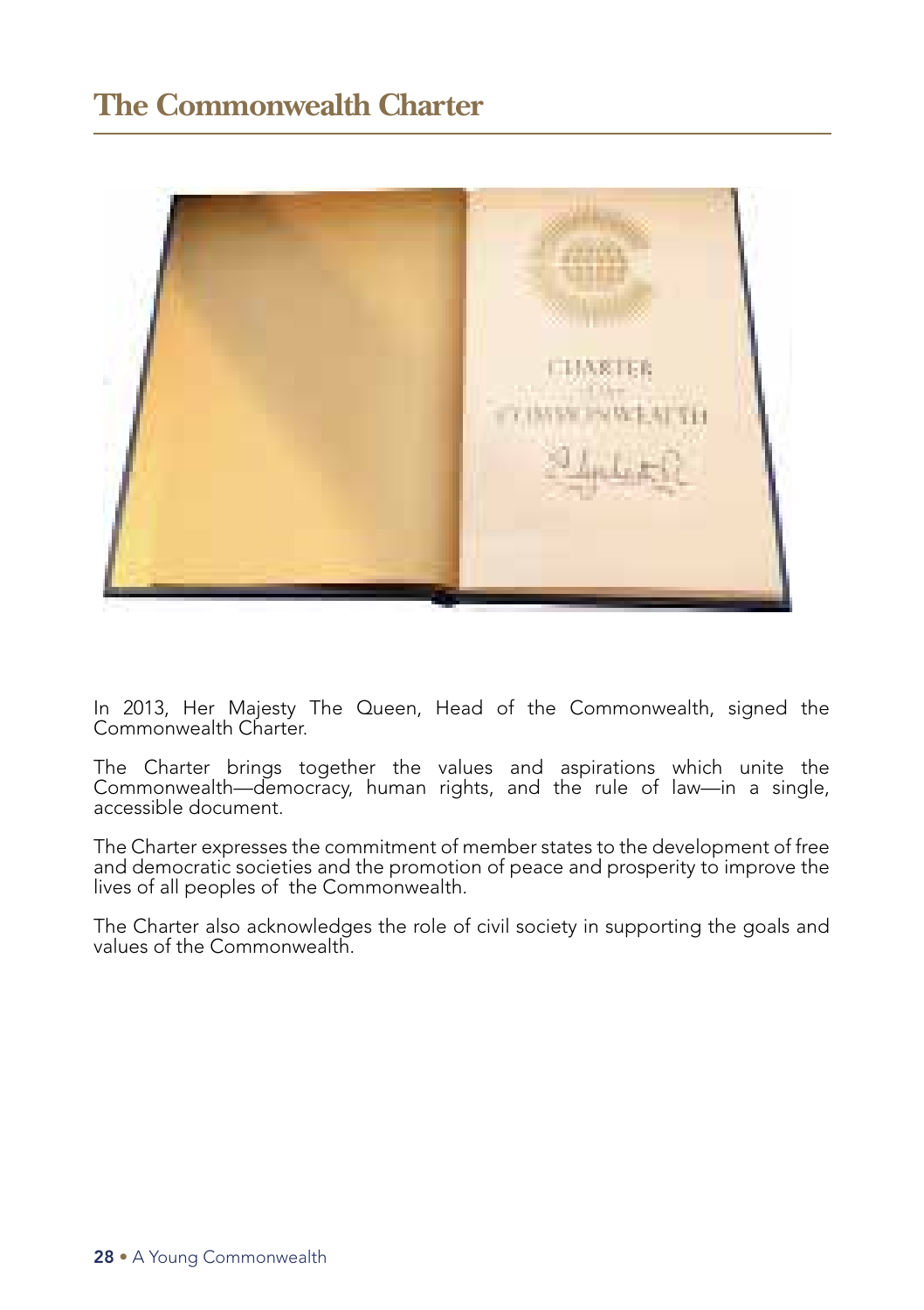### **The Commonwealth Charter**



In 2013, Her Majesty The Queen, Head of the Commonwealth, signed the Commonwealth Charter.

The Charter brings together the values and aspirations which unite the Commonwealth—democracy, human rights, and the rule of law—in a single, accessible document.

The Charter expresses the commitment of member states to the development of free and democratic societies and the promotion of peace and prosperity to improve the lives of all peoples of the Commonwealth.

The Charter also acknowledges the role of civil society in supporting the goals and values of the Commonwealth.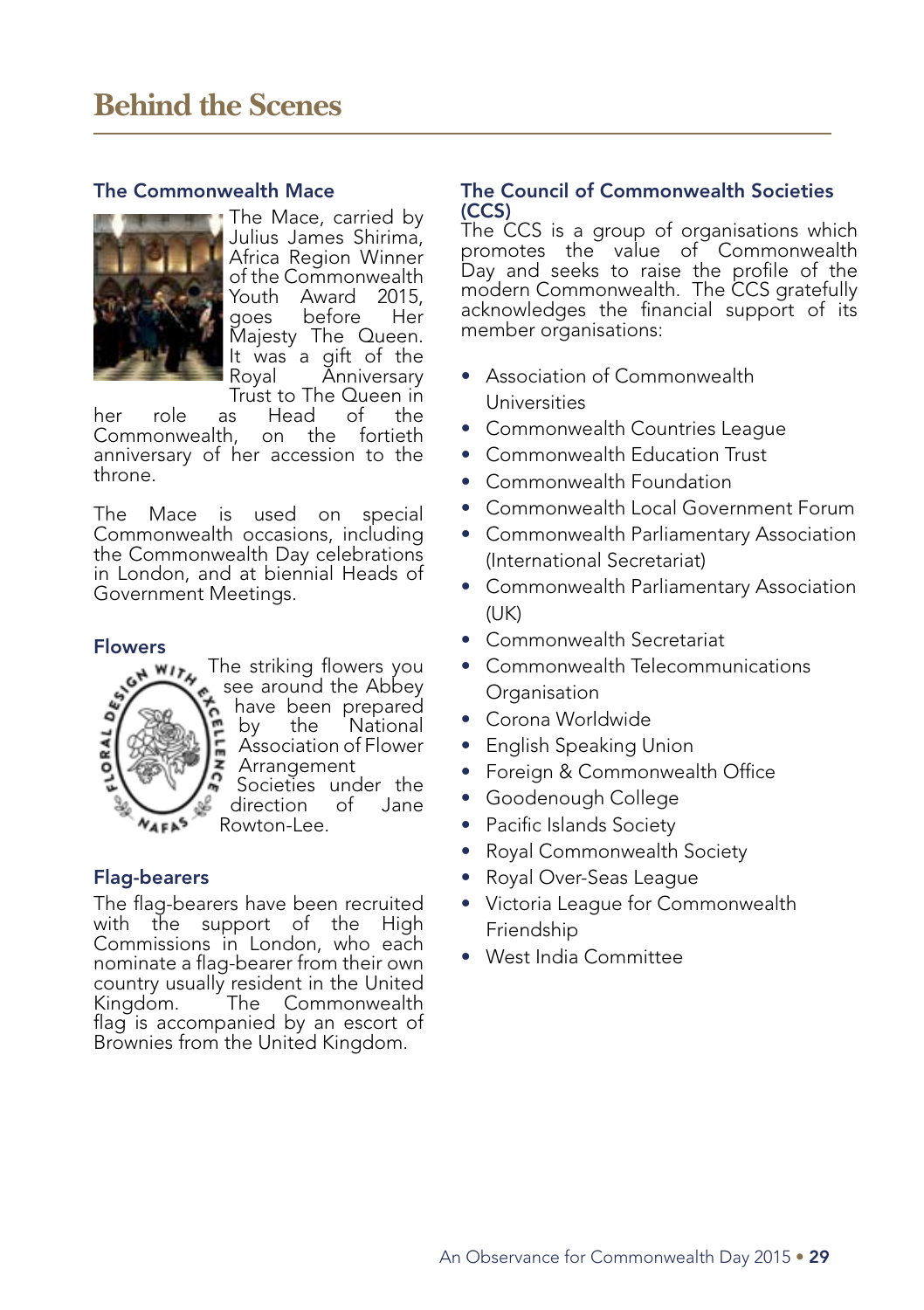#### The Commonwealth Mace



The Mace, carried by Julius James Shirima, Africa Region Winner of the Commonwealth Youth Award 2015,<br>goes before Her before Majesty The Queen. It was a gift of the<br>Roval Anniversary **Anniversary** Trust to The Queen in<br>as Head of the

her role as Head<br>Commonwealth, on th on the fortieth anniversary of her accession to the throne.

The Mace is used on special Commonwealth occasions, including the Commonwealth Day celebrations in London, and at biennial Heads of Government Meetings.

### Flowers



Flag-bearers

The flag-bearers have been recruited with the support of the High Commissions in London, who each nominate a flag-bearer from their own country usually resident in the United Kingdom. The Commonwealth flag is accompanied by an escort of Brownies from the United Kingdom.

#### The Council of Commonwealth Societies (CCS)

The CCS is a group of organisations which promotes the value of Commonwealth Day and seeks to raise the profile of the modern Commonwealth. The CCS gratefully acknowledges the financial support of its member organisations:

- Association of Commonwealth Universities
- Commonwealth Countries League
- Commonwealth Education Trust
- Commonwealth Foundation
- Commonwealth Local Government Forum
- Commonwealth Parliamentary Association (International Secretariat)
- Commonwealth Parliamentary Association (UK)
- Commonwealth Secretariat
- Commonwealth Telecommunications **Organisation**
- Corona Worldwide
- English Speaking Union
- Foreign & Commonwealth Office
- Goodenough College
- Pacific Islands Society
- Royal Commonwealth Society
- Royal Over-Seas League
- Victoria League for Commonwealth Friendship
- West India Committee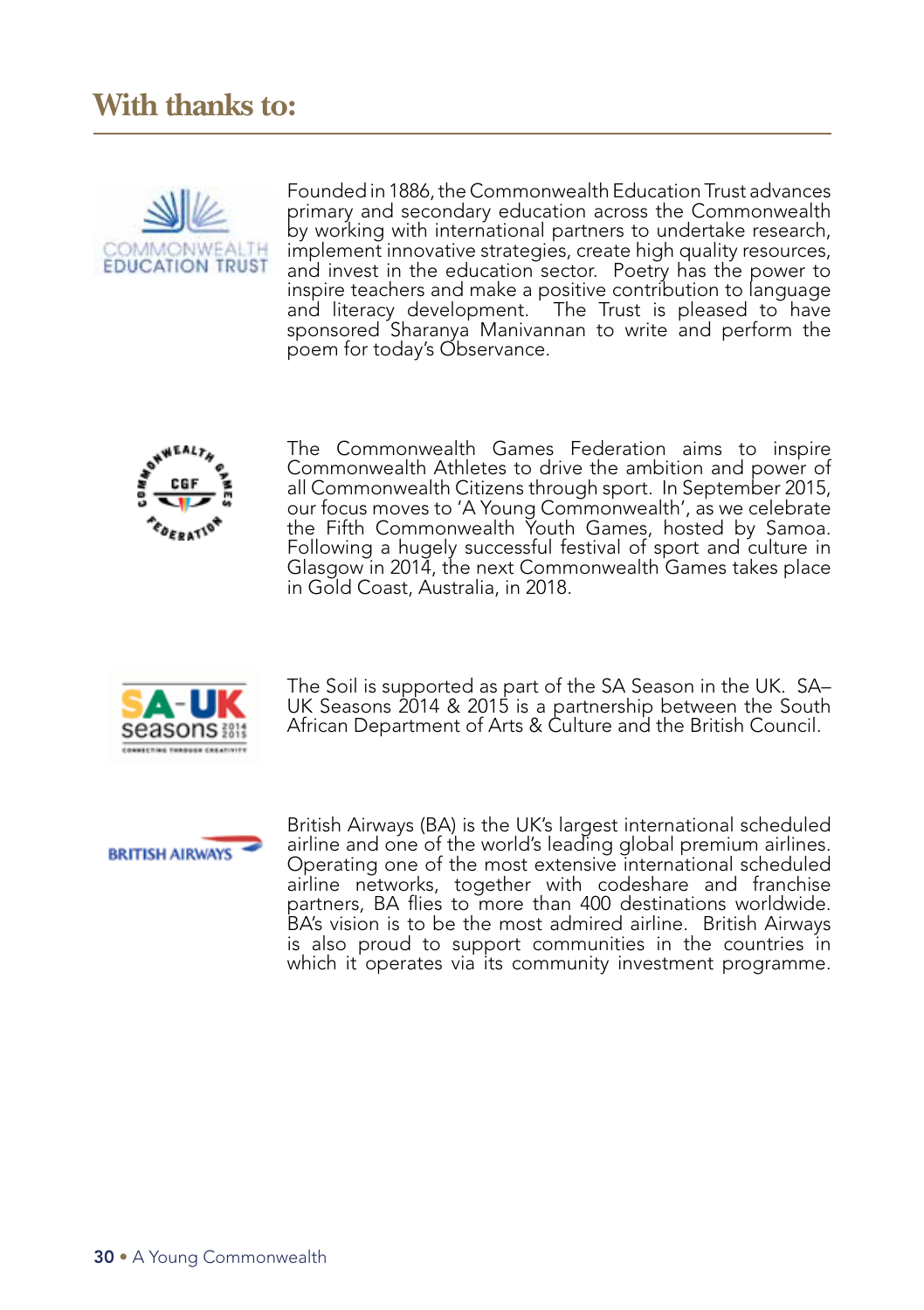

Founded in 1886, the Commonwealth Education Trust advances primary and secondary education across the Commonwealth by working with international partners to undertake research, implement innovative strategies, create high quality resources, and invest in the education sector. Poetry has the power to inspire teachers and make a positive contribution to language and literacy development. The Trust is pleased to have sponsored Sharanya Manivannan to write and perform the poem for today's Observance.



The Commonwealth Games Federation aims to inspire Commonwealth Athletes to drive the ambition and power of all Commonwealth Citizens through sport. In September 2015, our focus moves to 'A Young Commonwealth', as we celebrate the Fifth Commonwealth Youth Games, hosted by Samoa. Following a hugely successful festival of sport and culture in Glasgow in 2014, the next Commonwealth Games takes place in Gold Coast, Australia, in 2018.



The Soil is supported as part of the SA Season in the UK. SA– UK Seasons 2014 & 2015 is a partnership between the South African Department of Arts & Culture and the British Council.



British Airways (BA) is the UK's largest international scheduled airline and one of the world's leading global premium airlines. Operating one of the most extensive international scheduled airline networks, together with codeshare and franchise partners, BA flies to more than 400 destinations worldwide. BA's vision is to be the most admired airline. British Airways is also proud to support communities in the countries in which it operates via its community investment programme.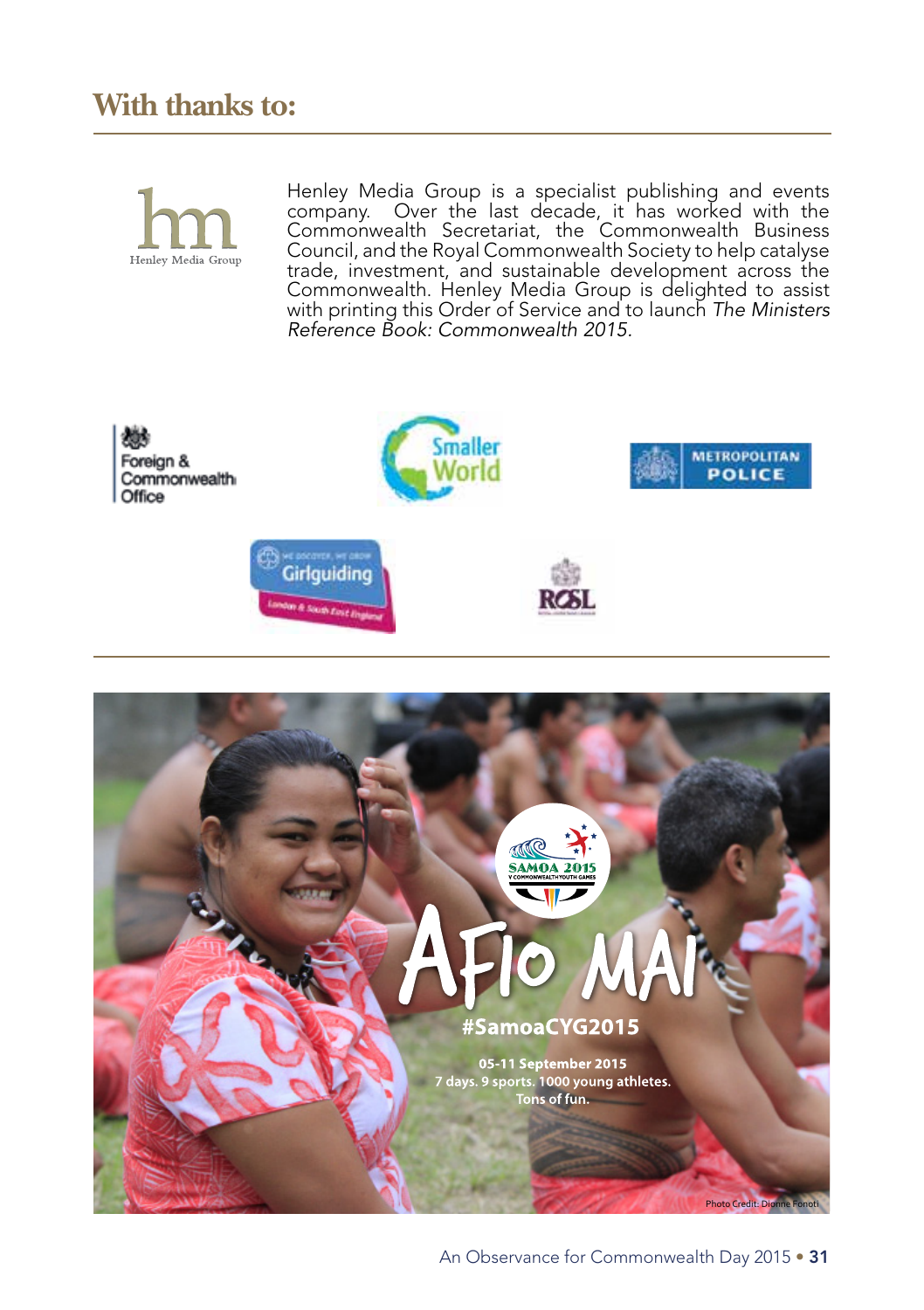### **With thanks to:**



Henley Media Group is a specialist publishing and events company. Over the last decade, it has worked with the Commonwealth Secretariat, the Commonwealth Business Council, and the Royal Commonwealth Society to help catalyse trade, investment, and sustainable development across the Commonwealth. Henley Media Group is delighted to assist with printing this Order of Service and to launch *The Ministers Reference Book: Commonwealth 2015.* 







**METROPOLITAN** 

**POLICE** 



**Smaller** 

World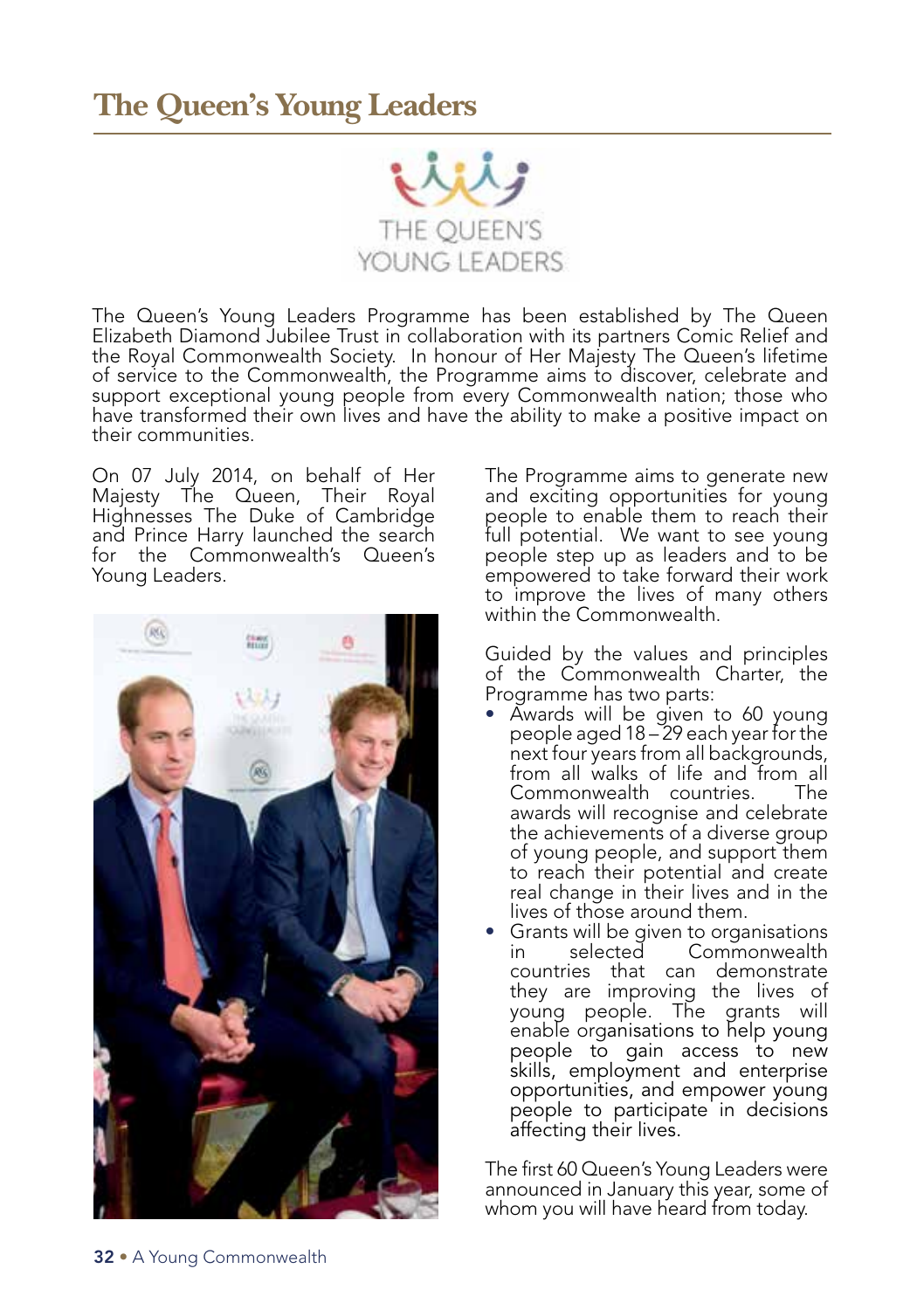### **The Queen's Young Leaders**



The Queen's Young Leaders Programme has been established by The Queen Elizabeth Diamond Jubilee Trust in collaboration with its partners Comic Relief and the Royal Commonwealth Society. In honour of Her Majesty The Queen's lifetime of service to the Commonwealth, the Programme aims to discover, celebrate and support exceptional young people from every Commonwealth nation; those who have transformed their own lives and have the ability to make a positive impact on their communities.

On 07 July 2014, on behalf of Her Majesty The Queen, Their Royal Highnesses The Duke of Cambridge and Prince Harry launched the search for the Commonwealth's Queen's Young Leaders.



The Programme aims to generate new and exciting opportunities for young people to enable them to reach their full potential. We want to see young people step up as leaders and to be empowered to take forward their work to improve the lives of many others within the Commonwealth.

Guided by the values and principles of the Commonwealth Charter, the Programme has two parts:

- Awards will be given to 60 young people aged 18 – 29 each year for the next four years from all backgrounds, from all walks of life and from all Commonwealth countries. The awards will recognise and celebrate the achievements of a diverse group of young people, and support them to reach their potential and create real change in their lives and in the lives of those around them.
- Grants will be given to organisations<br>in selected Commonwealth in selected Commonwealth countries that can demonstrate they are improving the lives of young people. The grants will people to gain access to new skills, employment and enterprise opportunities, and empower young people to participate in decisions affecting their lives.

The first 60 Queen's Young Leaders were announced in January this year, some of whom you will have heard from today.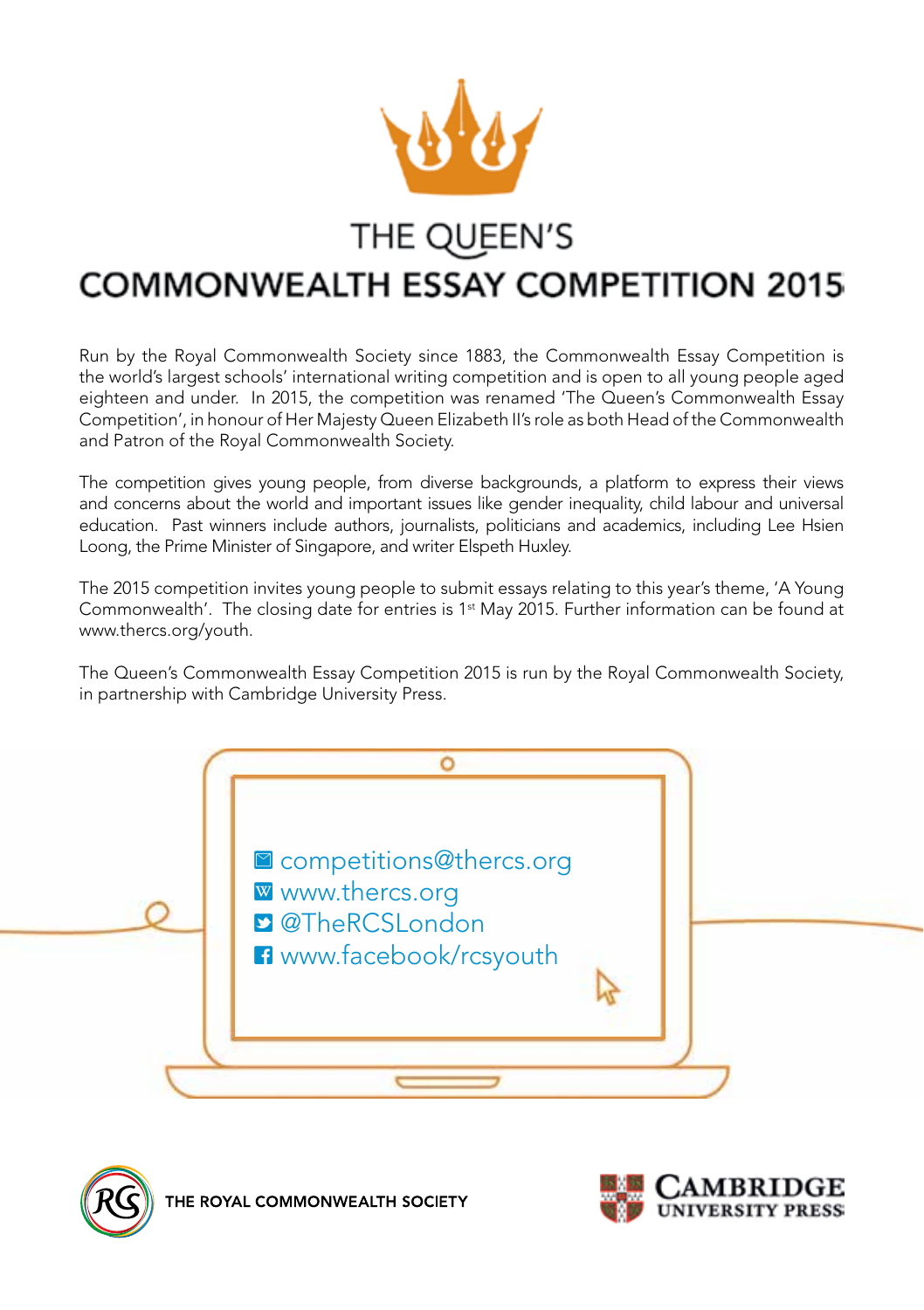

THE QUEEN'S

## **COMMONWEALTH ESSAY COMPETITION 2015**

Run by the Royal Commonwealth Society since 1883, the Commonwealth Essay Competition is the world's largest schools' international writing competition and is open to all young people aged eighteen and under. In 2015, the competition was renamed 'The Queen's Commonwealth Essay Competition', in honour of Her Majesty Queen Elizabeth II's role as both Head of the Commonwealth and Patron of the Royal Commonwealth Society.

The competition gives young people, from diverse backgrounds, a platform to express their views and concerns about the world and important issues like gender inequality, child labour and universal education. Past winners include authors, journalists, politicians and academics, including Lee Hsien Loong, the Prime Minister of Singapore, and writer Elspeth Huxley.

The 2015 competition invites young people to submit essays relating to this year's theme, 'A Young Commonwealth'. The closing date for entries is 1<sup>st</sup> May 2015. Further information can be found at www.thercs.org/youth.

The Queen's Commonwealth Essay Competition 2015 is run by the Royal Commonwealth Society, in partnership with Cambridge University Press.





HE ROYAL COMMONWEALTH SOCIETY